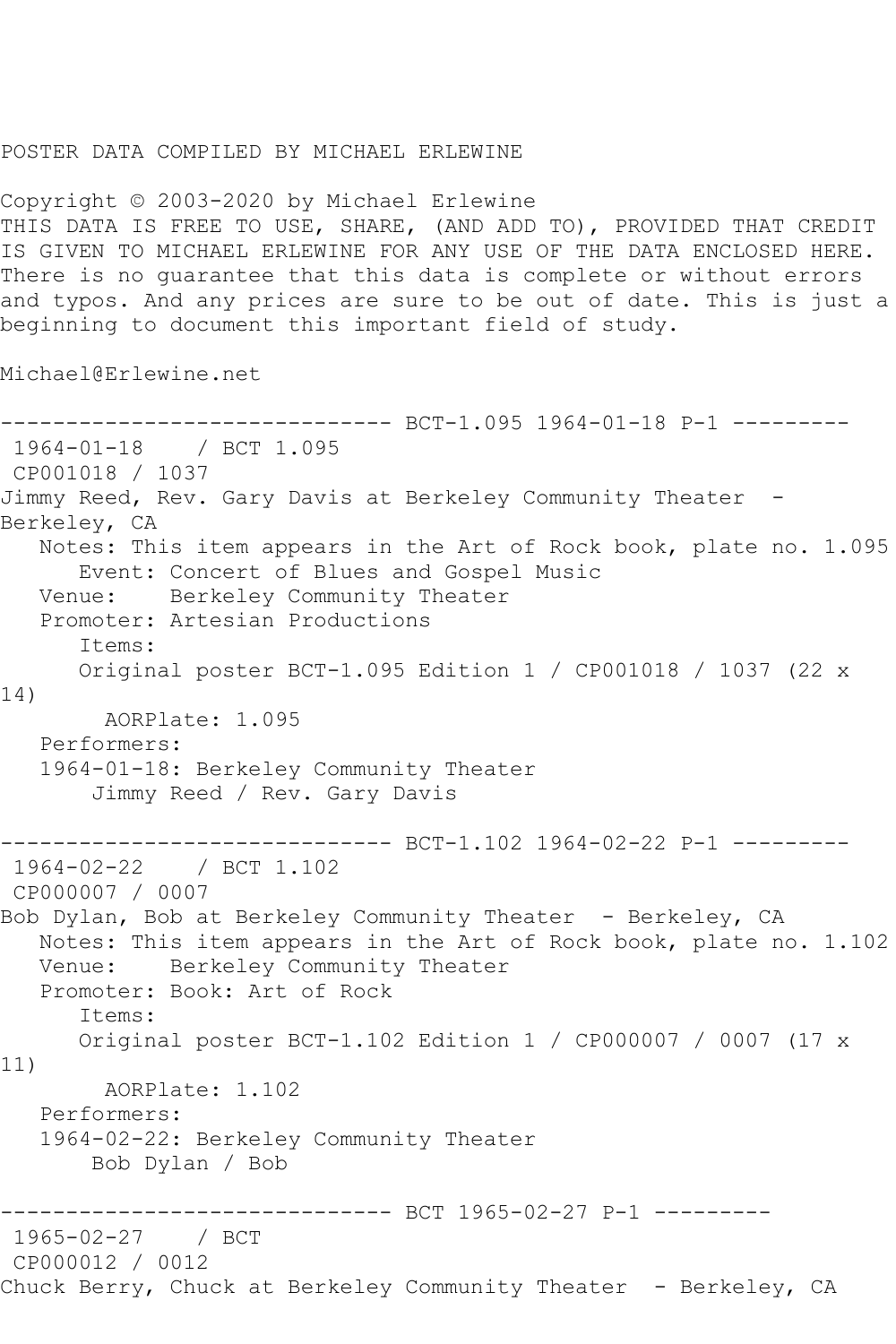## POSTER DATA COMPILED BY MICHAEL ERLEWINE

Copyright © 2003-2020 by Michael Erlewine THIS DATA IS FREE TO USE, SHARE, (AND ADD TO), PROVIDED THAT CREDIT IS GIVEN TO MICHAEL ERLEWINE FOR ANY USE OF THE DATA ENCLOSED HERE. There is no guarantee that this data is complete or without errors and typos. And any prices are sure to be out of date. This is just a beginning to document this important field of study.

Michael@Erlewine.net

```
------------------------------ BCT-1.095 1964-01-18 P-1 ---------
1964-01-18 / BCT 1.095
CP001018 / 1037
Jimmy Reed, Rev. Gary Davis at Berkeley Community Theater -
Berkeley, CA
   Notes: This item appears in the Art of Rock book, plate no. 1.095
  Event: Concert of Blues and Gospel Music<br>Venue: Berkeley Community Theater
            Berkeley Community Theater
   Promoter: Artesian Productions
       Items:
       Original poster BCT-1.095 Edition 1 / CP001018 / 1037 (22 x 
14)
         AORPlate: 1.095 
   Performers:
    1964-01-18: Berkeley Community Theater
        Jimmy Reed / Rev. Gary Davis
                     ---------- BCT-1.102 1964-02-22 P-1 ---------
1964-02-22 / BCT 1.102
CP000007 / 0007
Bob Dylan, Bob at Berkeley Community Theater - Berkeley, CA
   Notes: This item appears in the Art of Rock book, plate no. 1.102
   Venue: Berkeley Community Theater
   Promoter: Book: Art of Rock
       Items:
       Original poster BCT-1.102 Edition 1 / CP000007 / 0007 (17 x 
11)
        AORPlate: 1.102 
   Performers:
    1964-02-22: Berkeley Community Theater
        Bob Dylan / Bob
                    ---------- BCT 1965-02-27 P-1 ---------
1965-02-27 / BCT 
CP000012 / 0012
Chuck Berry, Chuck at Berkeley Community Theater - Berkeley, CA
```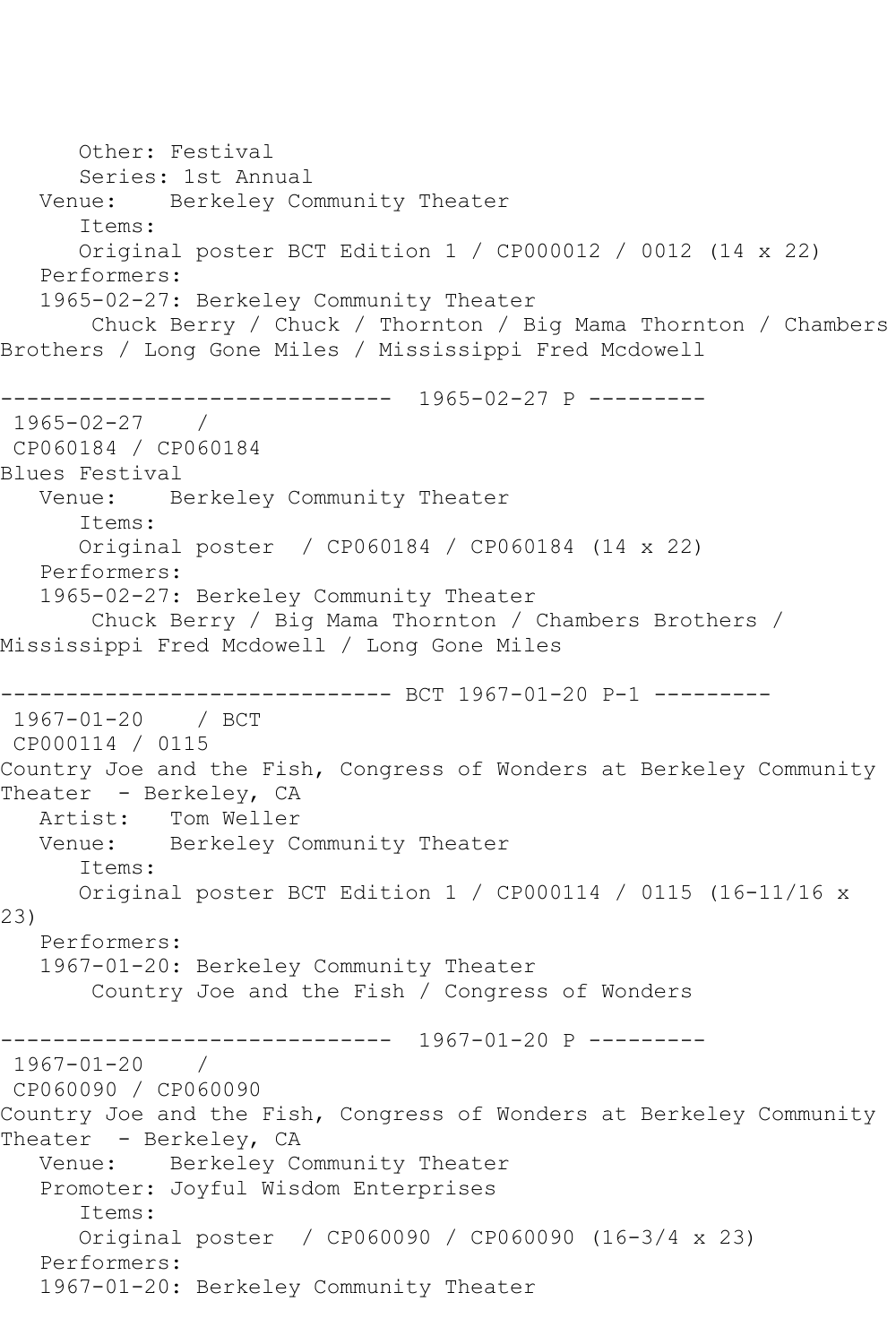Other: Festival Series: 1st Annual Venue: Berkeley Community Theater Items: Original poster BCT Edition 1 / CP000012 / 0012 (14 x 22) Performers: 1965-02-27: Berkeley Community Theater Chuck Berry / Chuck / Thornton / Big Mama Thornton / Chambers Brothers / Long Gone Miles / Mississippi Fred Mcdowell ------------------------------ 1965-02-27 P --------- 1965-02-27 / CP060184 / CP060184 Blues Festival Venue: Berkeley Community Theater Items: Original poster / CP060184 / CP060184 (14 x 22) Performers: 1965-02-27: Berkeley Community Theater Chuck Berry / Big Mama Thornton / Chambers Brothers / Mississippi Fred Mcdowell / Long Gone Miles ------------------------------ BCT 1967-01-20 P-1 --------- 1967-01-20 / BCT CP000114 / 0115 Country Joe and the Fish, Congress of Wonders at Berkeley Community Theater - Berkeley, CA Artist: Tom Weller Venue: Berkeley Community Theater Items: Original poster BCT Edition 1 / CP000114 / 0115 (16-11/16 x 23) Performers: 1967-01-20: Berkeley Community Theater Country Joe and the Fish / Congress of Wonders ------------------------------ 1967-01-20 P --------- 1967-01-20 / CP060090 / CP060090 Country Joe and the Fish, Congress of Wonders at Berkeley Community Theater - Berkeley, CA Venue: Berkeley Community Theater Promoter: Joyful Wisdom Enterprises Items: Original poster / CP060090 / CP060090 (16-3/4 x 23) Performers: 1967-01-20: Berkeley Community Theater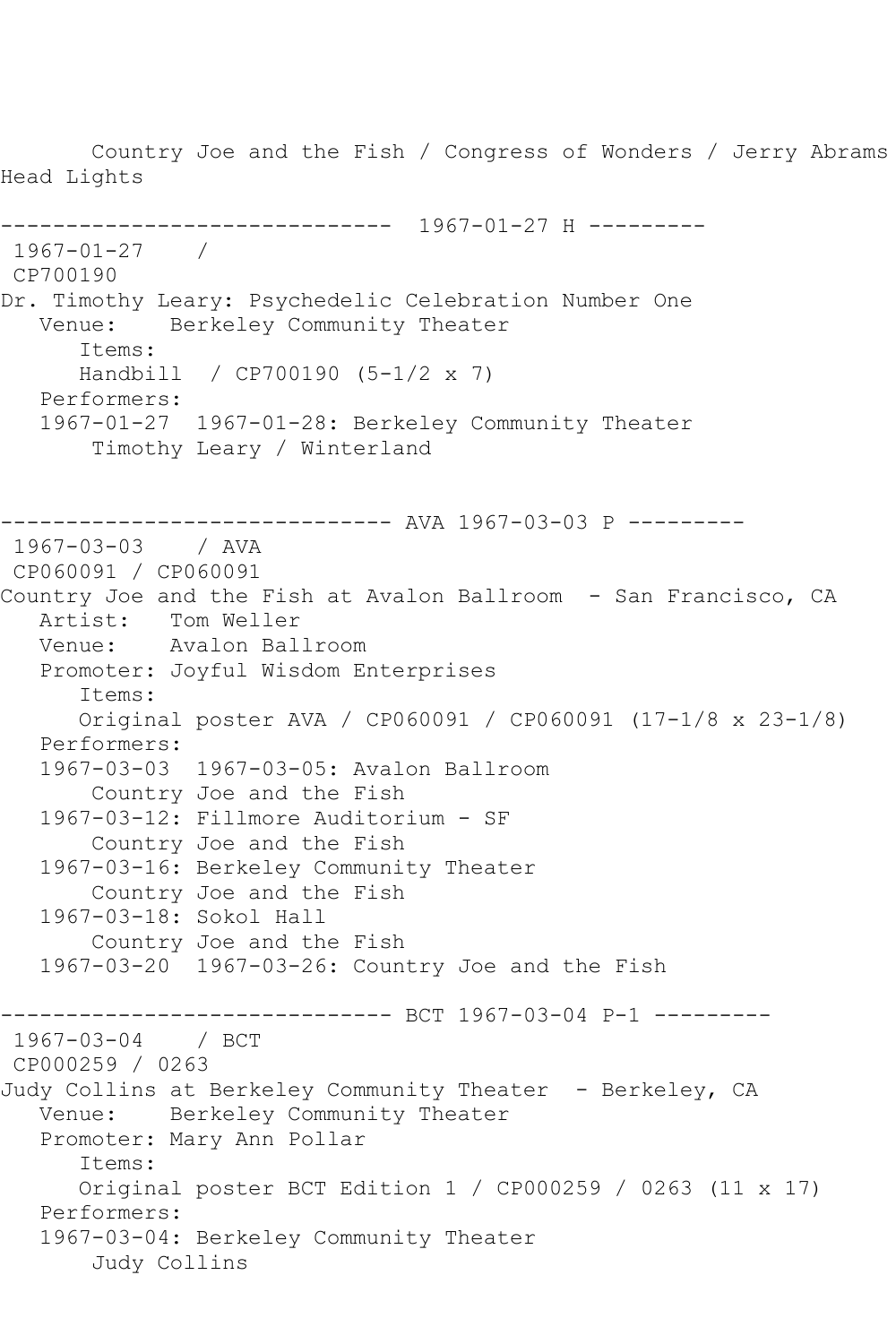Country Joe and the Fish / Congress of Wonders / Jerry Abrams Head Lights ------------------------------ 1967-01-27 H --------- 1967-01-27 / CP700190 Dr. Timothy Leary: Psychedelic Celebration Number One Venue: Berkeley Community Theater Items: Handbill / CP700190 (5-1/2 x 7) Performers: 1967-01-27 1967-01-28: Berkeley Community Theater Timothy Leary / Winterland ------------------------------ AVA 1967-03-03 P --------- 1967-03-03 / AVA CP060091 / CP060091 Country Joe and the Fish at Avalon Ballroom - San Francisco, CA Artist: Tom Weller Venue: Avalon Ballroom Promoter: Joyful Wisdom Enterprises Items: Original poster AVA / CP060091 / CP060091 (17-1/8 x 23-1/8) Performers: 1967-03-03 1967-03-05: Avalon Ballroom Country Joe and the Fish 1967-03-12: Fillmore Auditorium - SF Country Joe and the Fish 1967-03-16: Berkeley Community Theater Country Joe and the Fish 1967-03-18: Sokol Hall Country Joe and the Fish 1967-03-20 1967-03-26: Country Joe and the Fish ------------------------------ BCT 1967-03-04 P-1 --------- 1967-03-04 / BCT CP000259 / 0263 Judy Collins at Berkeley Community Theater - Berkeley, CA Venue: Berkeley Community Theater Promoter: Mary Ann Pollar Items: Original poster BCT Edition 1 / CP000259 / 0263 (11 x 17) Performers: 1967-03-04: Berkeley Community Theater Judy Collins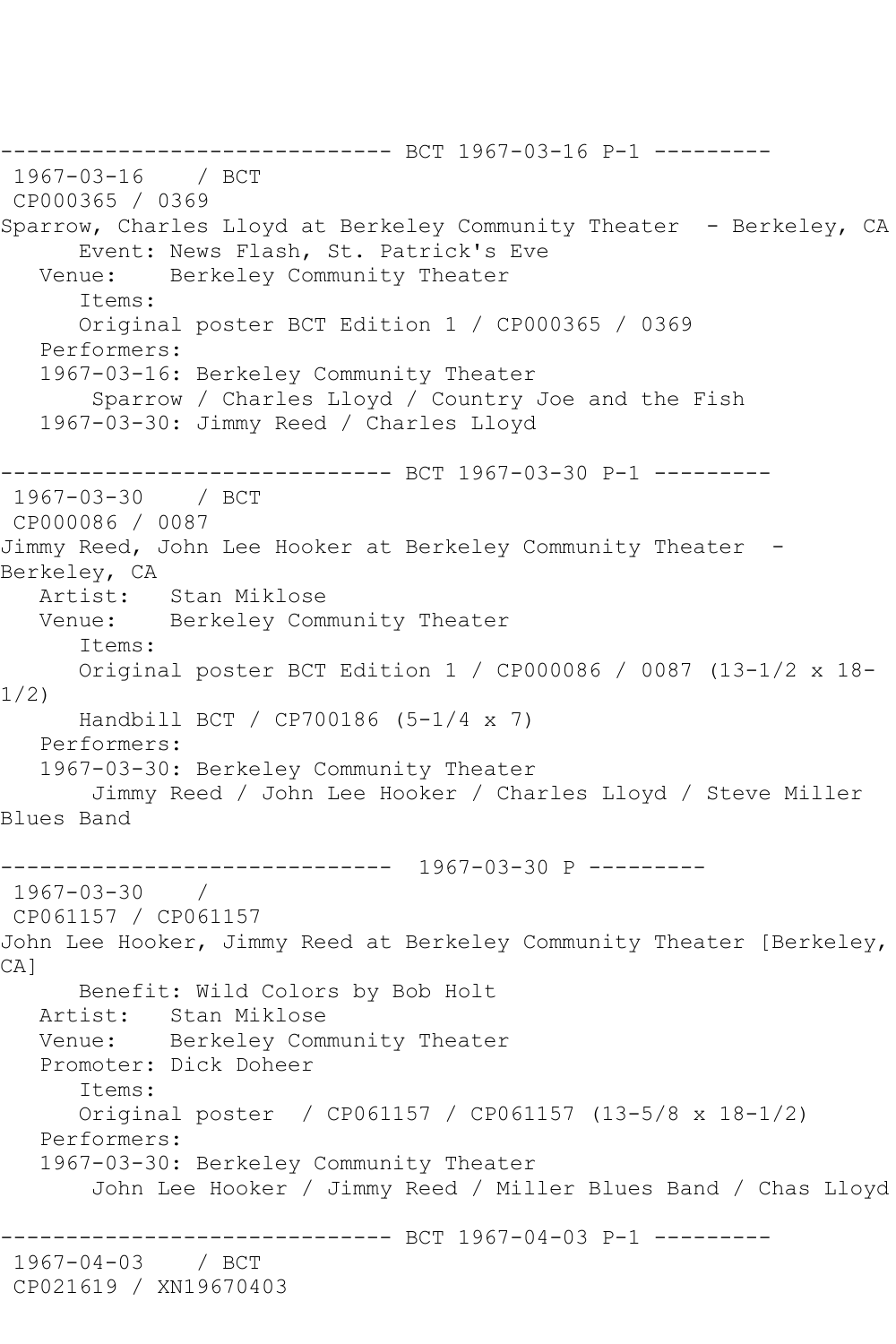------------------------------ BCT 1967-03-16 P-1 --------- 1967-03-16 / BCT CP000365 / 0369 Sparrow, Charles Lloyd at Berkeley Community Theater - Berkeley, CA Event: News Flash, St. Patrick's Eve<br>Venue: Berkelev Community Theater Berkeley Community Theater Items: Original poster BCT Edition 1 / CP000365 / 0369 Performers: 1967-03-16: Berkeley Community Theater Sparrow / Charles Lloyd / Country Joe and the Fish 1967-03-30: Jimmy Reed / Charles Lloyd ------------------------------ BCT 1967-03-30 P-1 --------- 1967-03-30 / BCT CP000086 / 0087 Jimmy Reed, John Lee Hooker at Berkeley Community Theater - Berkeley, CA<br>Artist: Stan Miklose Venue: Berkeley Community Theater Items: Original poster BCT Edition 1 / CP000086 / 0087 (13-1/2 x 18- 1/2) Handbill BCT / CP700186 (5-1/4 x 7) Performers: 1967-03-30: Berkeley Community Theater Jimmy Reed / John Lee Hooker / Charles Lloyd / Steve Miller Blues Band ------------------------------ 1967-03-30 P --------- 1967-03-30 / CP061157 / CP061157 John Lee Hooker, Jimmy Reed at Berkeley Community Theater [Berkeley, CA<sub>1</sub> Benefit: Wild Colors by Bob Holt Artist: Stan Miklose Venue: Berkeley Community Theater Promoter: Dick Doheer Items: Original poster / CP061157 / CP061157 (13-5/8 x 18-1/2) Performers: 1967-03-30: Berkeley Community Theater John Lee Hooker / Jimmy Reed / Miller Blues Band / Chas Lloyd ------------------------------ BCT 1967-04-03 P-1 --------- 1967-04-03 / BCT CP021619 / XN19670403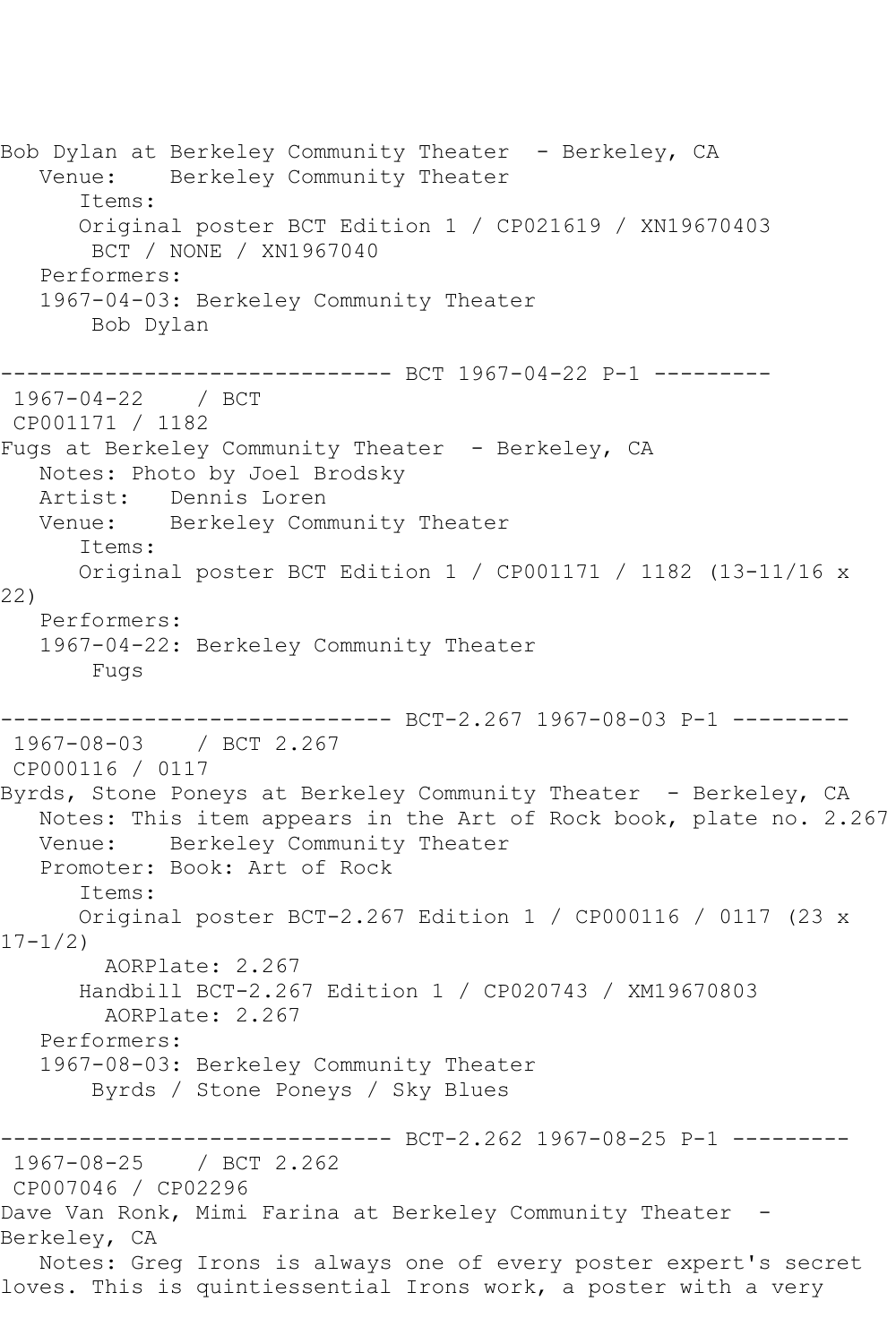Bob Dylan at Berkeley Community Theater - Berkeley, CA Venue: Berkeley Community Theater Items: Original poster BCT Edition 1 / CP021619 / XN19670403 BCT / NONE / XN1967040 Performers: 1967-04-03: Berkeley Community Theater Bob Dylan ------------------------------ BCT 1967-04-22 P-1 --------- 1967-04-22 / BCT CP001171 / 1182 Fugs at Berkeley Community Theater - Berkeley, CA Notes: Photo by Joel Brodsky Artist: Dennis Loren Venue: Berkeley Community Theater Items: Original poster BCT Edition 1 / CP001171 / 1182 (13-11/16 x 22) Performers: 1967-04-22: Berkeley Community Theater Fugs ------------------------------ BCT-2.267 1967-08-03 P-1 --------- 1967-08-03 / BCT 2.267 CP000116 / 0117 Byrds, Stone Poneys at Berkeley Community Theater - Berkeley, CA Notes: This item appears in the Art of Rock book, plate no. 2.267 Venue: Berkeley Community Theater Promoter: Book: Art of Rock Items: Original poster BCT-2.267 Edition 1 / CP000116 / 0117 (23 x  $17 - 1/2$  AORPlate: 2.267 Handbill BCT-2.267 Edition 1 / CP020743 / XM19670803 AORPlate: 2.267 Performers: 1967-08-03: Berkeley Community Theater Byrds / Stone Poneys / Sky Blues -------------------------------- BCT-2.262 1967-08-25 P-1 --------<br>1967-08-25 / BCT 2.262 / BCT 2.262 CP007046 / CP02296 Dave Van Ronk, Mimi Farina at Berkeley Community Theater -Berkeley, CA Notes: Greg Irons is always one of every poster expert's secret loves. This is quintiessential Irons work, a poster with a very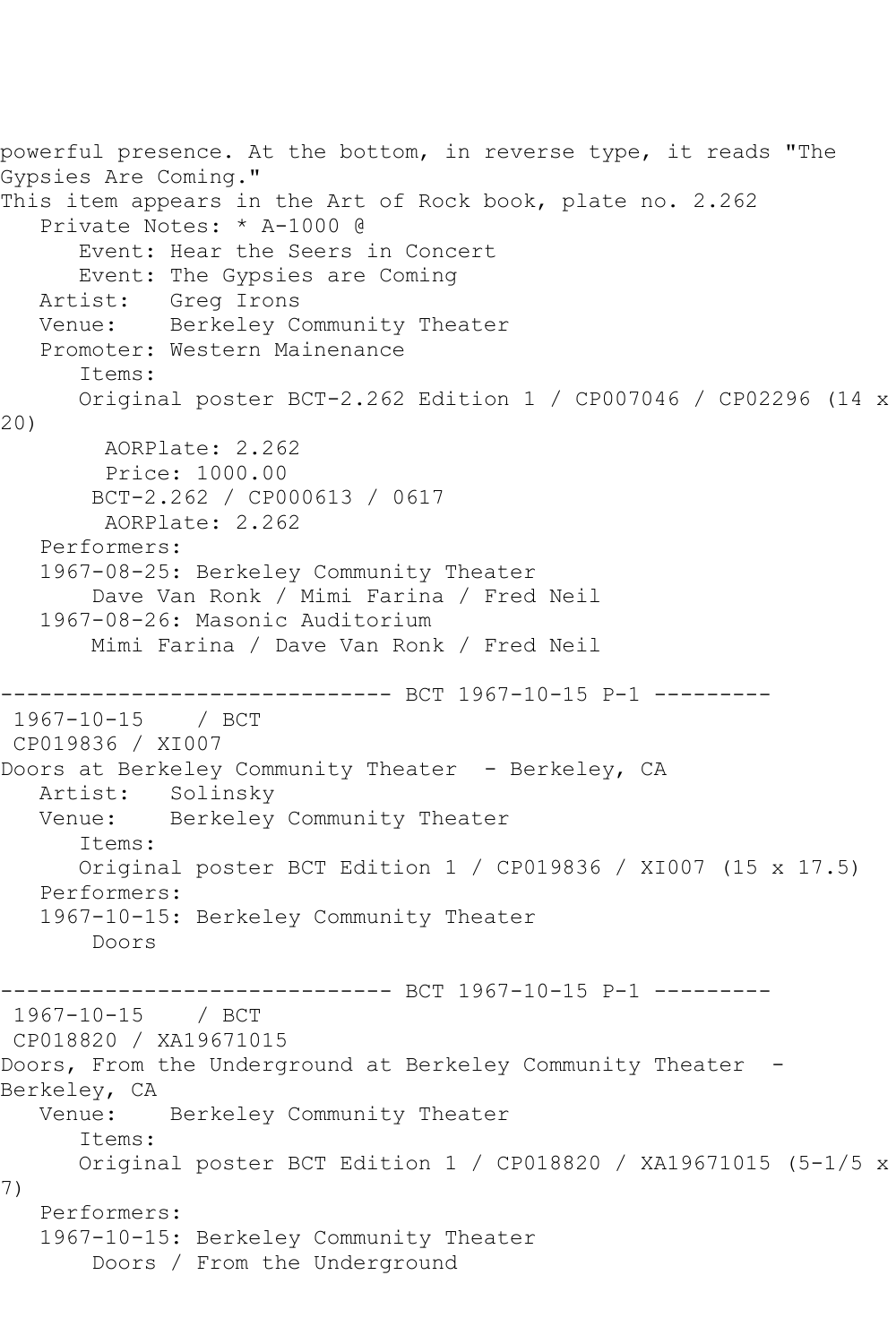```
powerful presence. At the bottom, in reverse type, it reads "The 
Gypsies Are Coming."
This item appears in the Art of Rock book, plate no. 2.262
   Private Notes: * A-1000 @
       Event: Hear the Seers in Concert
       Event: The Gypsies are Coming
   Artist: Greg Irons
   Venue: Berkeley Community Theater
   Promoter: Western Mainenance
       Items:
       Original poster BCT-2.262 Edition 1 / CP007046 / CP02296 (14 x 
20)
        AORPlate: 2.262 
        Price: 1000.00
        BCT-2.262 / CP000613 / 0617
         AORPlate: 2.262 
   Performers:
   1967-08-25: Berkeley Community Theater
        Dave Van Ronk / Mimi Farina / Fred Neil
   1967-08-26: Masonic Auditorium
        Mimi Farina / Dave Van Ronk / Fred Neil
                --------------- BCT 1967-10-15 P-1 ---------
1967-10-15 / BCT 
CP019836 / XI007
Doors at Berkeley Community Theater - Berkeley, CA
   Artist: Solinsky
   Venue: Berkeley Community Theater
       Items:
       Original poster BCT Edition 1 / CP019836 / XI007 (15 x 17.5)
   Performers:
   1967-10-15: Berkeley Community Theater
        Doors
                       -------- BCT 1967-10-15 P-1 ---------
1967-10-15 / BCT 
CP018820 / XA19671015
Doors, From the Underground at Berkeley Community Theater -
Berkeley, CA<br>Venue:
            Berkeley Community Theater
       Items:
      Original poster BCT Edition 1 / CP018820 / XA19671015 (5-1/5 x 
7)
   Performers:
   1967-10-15: Berkeley Community Theater
        Doors / From the Underground
```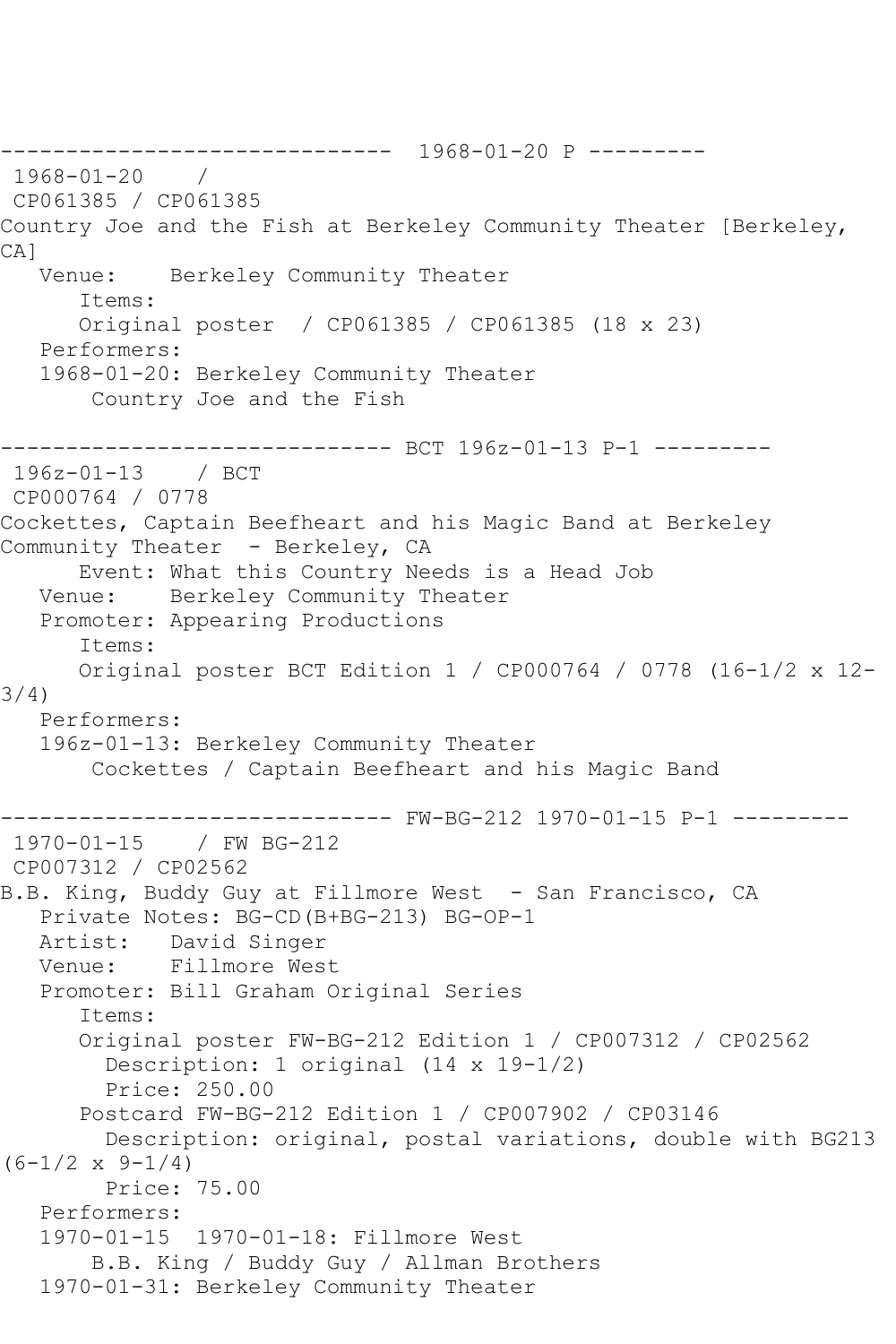------------------------------ 1968-01-20 P --------- 1968-01-20 / CP061385 / CP061385 Country Joe and the Fish at Berkeley Community Theater [Berkeley, CA]<br>Venue: Berkeley Community Theater Items: Original poster / CP061385 / CP061385 (18 x 23) Performers: 1968-01-20: Berkeley Community Theater Country Joe and the Fish -------------- BCT 196z-01-13 P-1 ---------196z-01-13 / BCT CP000764 / 0778 Cockettes, Captain Beefheart and his Magic Band at Berkeley Community Theater - Berkeley, CA Event: What this Country Needs is a Head Job Venue: Berkeley Community Theater Berkeley Community Theater Promoter: Appearing Productions Items: Original poster BCT Edition 1 / CP000764 / 0778 (16-1/2 x 12- 3/4) Performers: 196z-01-13: Berkeley Community Theater Cockettes / Captain Beefheart and his Magic Band ------------------------------ FW-BG-212 1970-01-15 P-1 --------- 1970-01-15 / FW BG-212 CP007312 / CP02562 B.B. King, Buddy Guy at Fillmore West - San Francisco, CA Private Notes: BG-CD(B+BG-213) BG-OP-1 Artist: David Singer<br>Venue: Fillmore Wes Fillmore West Promoter: Bill Graham Original Series Items: Original poster FW-BG-212 Edition 1 / CP007312 / CP02562 Description: 1 original (14 x 19-1/2) Price: 250.00 Postcard FW-BG-212 Edition 1 / CP007902 / CP03146 Description: original, postal variations, double with BG213  $(6-1/2 \times 9-1/4)$  Price: 75.00 Performers: 1970-01-15 1970-01-18: Fillmore West B.B. King / Buddy Guy / Allman Brothers 1970-01-31: Berkeley Community Theater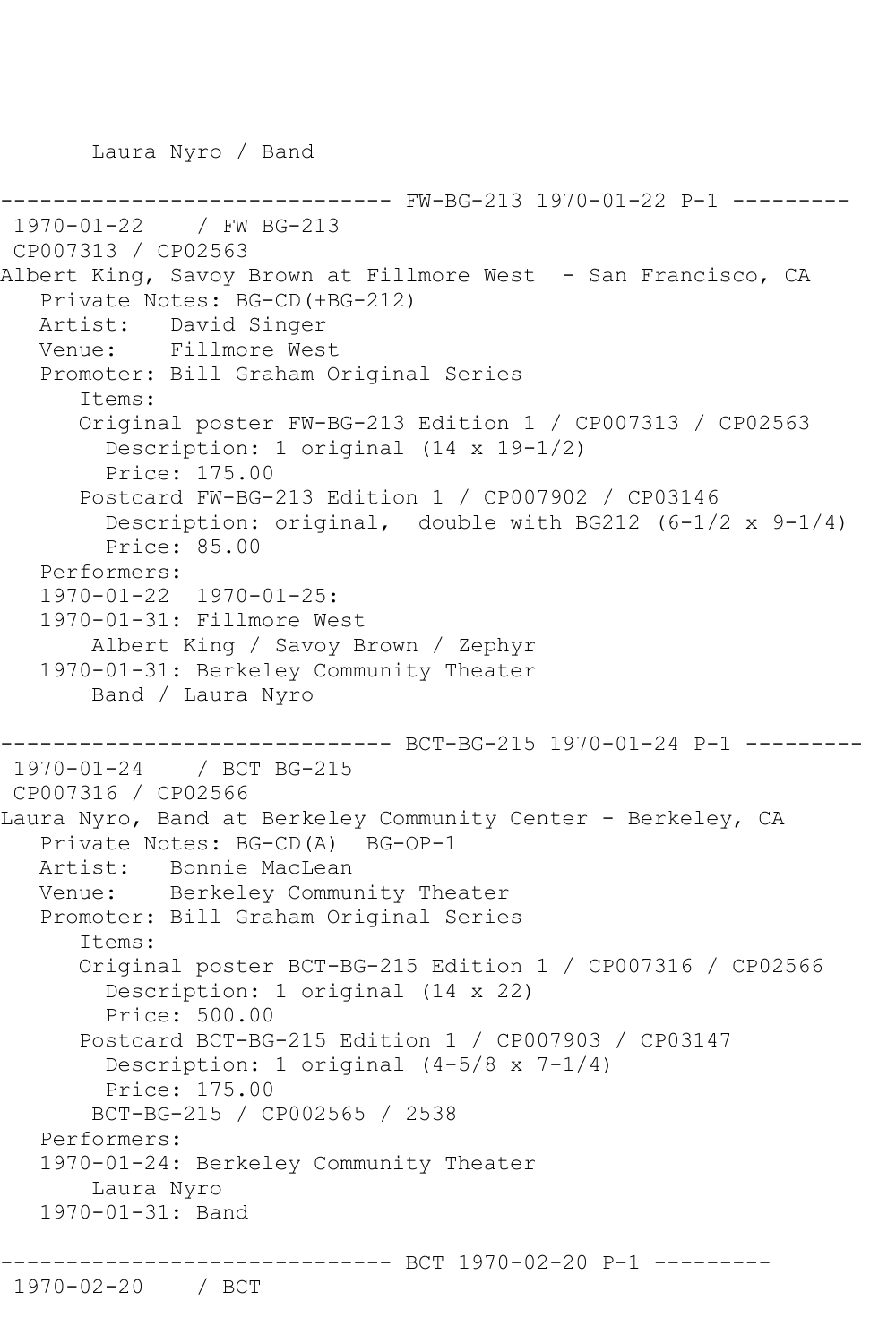Laura Nyro / Band

```
-------- FW-BG-213 1970-01-22 P-1 ---------
1970-01-22 / FW BG-213
CP007313 / CP02563
Albert King, Savoy Brown at Fillmore West - San Francisco, CA
   Private Notes: BG-CD(+BG-212)
   Artist: David Singer
   Venue: Fillmore West
   Promoter: Bill Graham Original Series
       Items:
       Original poster FW-BG-213 Edition 1 / CP007313 / CP02563
         Description: 1 original (14 x 19-1/2)
         Price: 175.00
       Postcard FW-BG-213 Edition 1 / CP007902 / CP03146
         Description: original, double with BG212 (6-1/2 x 9-1/4)
         Price: 85.00
   Performers:
   1970-01-22 1970-01-25:
   1970-01-31: Fillmore West
        Albert King / Savoy Brown / Zephyr
   1970-01-31: Berkeley Community Theater
        Band / Laura Nyro
                  ------------------------------ BCT-BG-215 1970-01-24 P-1 ---------
1970-01-24 / BCT BG-215
CP007316 / CP02566
Laura Nyro, Band at Berkeley Community Center - Berkeley, CA
   Private Notes: BG-CD(A) BG-OP-1
   Artist: Bonnie MacLean
   Venue: Berkeley Community Theater
   Promoter: Bill Graham Original Series
       Items:
      Original poster BCT-BG-215 Edition 1 / CP007316 / CP02566
         Description: 1 original (14 x 22)
         Price: 500.00
       Postcard BCT-BG-215 Edition 1 / CP007903 / CP03147
         Description: 1 original (4-5/8 x 7-1/4)
         Price: 175.00
        BCT-BG-215 / CP002565 / 2538
   Performers:
   1970-01-24: Berkeley Community Theater
        Laura Nyro
   1970-01-31: Band
                  ------------ BCT 1970-02-20 P-1 ---------
1970-02-20 / BCT
```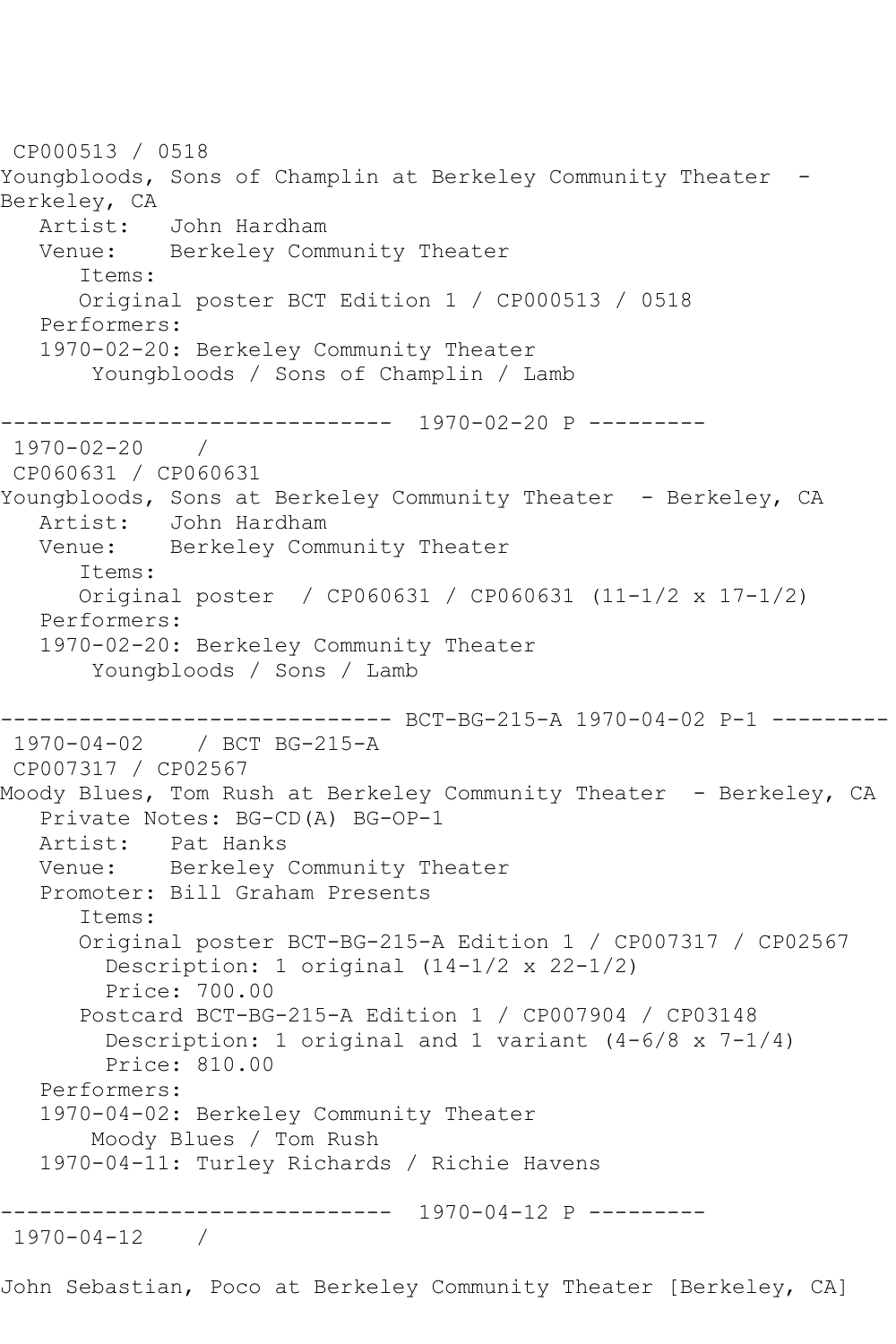CP000513 / 0518 Youngbloods, Sons of Champlin at Berkeley Community Theater -Berkeley, CA Artist: John Hardham<br>Venue: Berkelev Comm Berkeley Community Theater Items: Original poster BCT Edition 1 / CP000513 / 0518 Performers: 1970-02-20: Berkeley Community Theater Youngbloods / Sons of Champlin / Lamb ------------------------------ 1970-02-20 P ---------  $1970 - 02 - 20$ CP060631 / CP060631 Youngbloods, Sons at Berkeley Community Theater - Berkeley, CA<br>Artist: John Hardham Artist: John Hardham Venue: Berkeley Community Theater Items: Original poster / CP060631 / CP060631 (11-1/2 x 17-1/2) Performers: 1970-02-20: Berkeley Community Theater Youngbloods / Sons / Lamb ------------------------------ BCT-BG-215-A 1970-04-02 P-1 --------- 1970-04-02 / BCT BG-215-A CP007317 / CP02567 Moody Blues, Tom Rush at Berkeley Community Theater - Berkeley, CA Private Notes: BG-CD(A) BG-OP-1 Artist: Pat Hanks Venue: Berkeley Community Theater Promoter: Bill Graham Presents Items: Original poster BCT-BG-215-A Edition 1 / CP007317 / CP02567 Description: 1 original (14-1/2 x 22-1/2) Price: 700.00 Postcard BCT-BG-215-A Edition 1 / CP007904 / CP03148 Description: 1 original and 1 variant (4-6/8 x 7-1/4) Price: 810.00 Performers: 1970-04-02: Berkeley Community Theater Moody Blues / Tom Rush 1970-04-11: Turley Richards / Richie Havens ------------------------------ 1970-04-12 P --------- 1970-04-12 /

John Sebastian, Poco at Berkeley Community Theater [Berkeley, CA]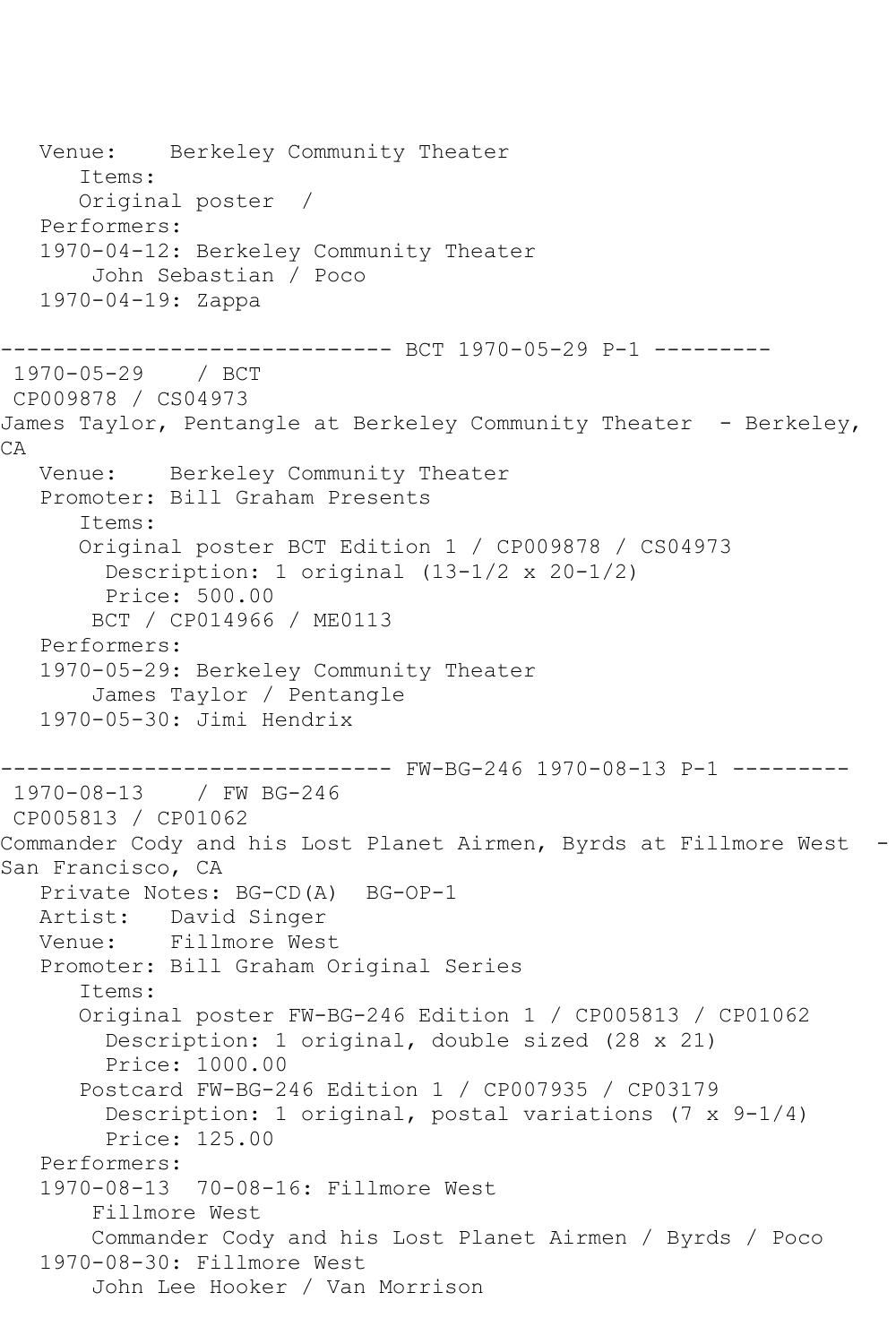Venue: Berkeley Community Theater Items: Original poster / Performers: 1970-04-12: Berkeley Community Theater John Sebastian / Poco 1970-04-19: Zappa ---------------- BCT 1970-05-29 P-1 ----------<br>/ BCT 1970-05-29 CP009878 / CS04973 James Taylor, Pentangle at Berkeley Community Theater - Berkeley, CA Venue: Berkeley Community Theater Promoter: Bill Graham Presents Items: Original poster BCT Edition 1 / CP009878 / CS04973 Description: 1 original (13-1/2 x 20-1/2) Price: 500.00 BCT / CP014966 / ME0113 Performers: 1970-05-29: Berkeley Community Theater James Taylor / Pentangle 1970-05-30: Jimi Hendrix ------------------------------ FW-BG-246 1970-08-13 P-1 --------- 1970-08-13 / FW BG-246 CP005813 / CP01062 Commander Cody and his Lost Planet Airmen, Byrds at Fillmore West - San Francisco, CA Private Notes: BG-CD(A) BG-OP-1 Artist: David Singer Venue: Fillmore West Promoter: Bill Graham Original Series Items: Original poster FW-BG-246 Edition 1 / CP005813 / CP01062 Description: 1 original, double sized (28 x 21) Price: 1000.00 Postcard FW-BG-246 Edition 1 / CP007935 / CP03179 Description: 1 original, postal variations (7 x 9-1/4) Price: 125.00 Performers: 1970-08-13 70-08-16: Fillmore West Fillmore West Commander Cody and his Lost Planet Airmen / Byrds / Poco 1970-08-30: Fillmore West John Lee Hooker / Van Morrison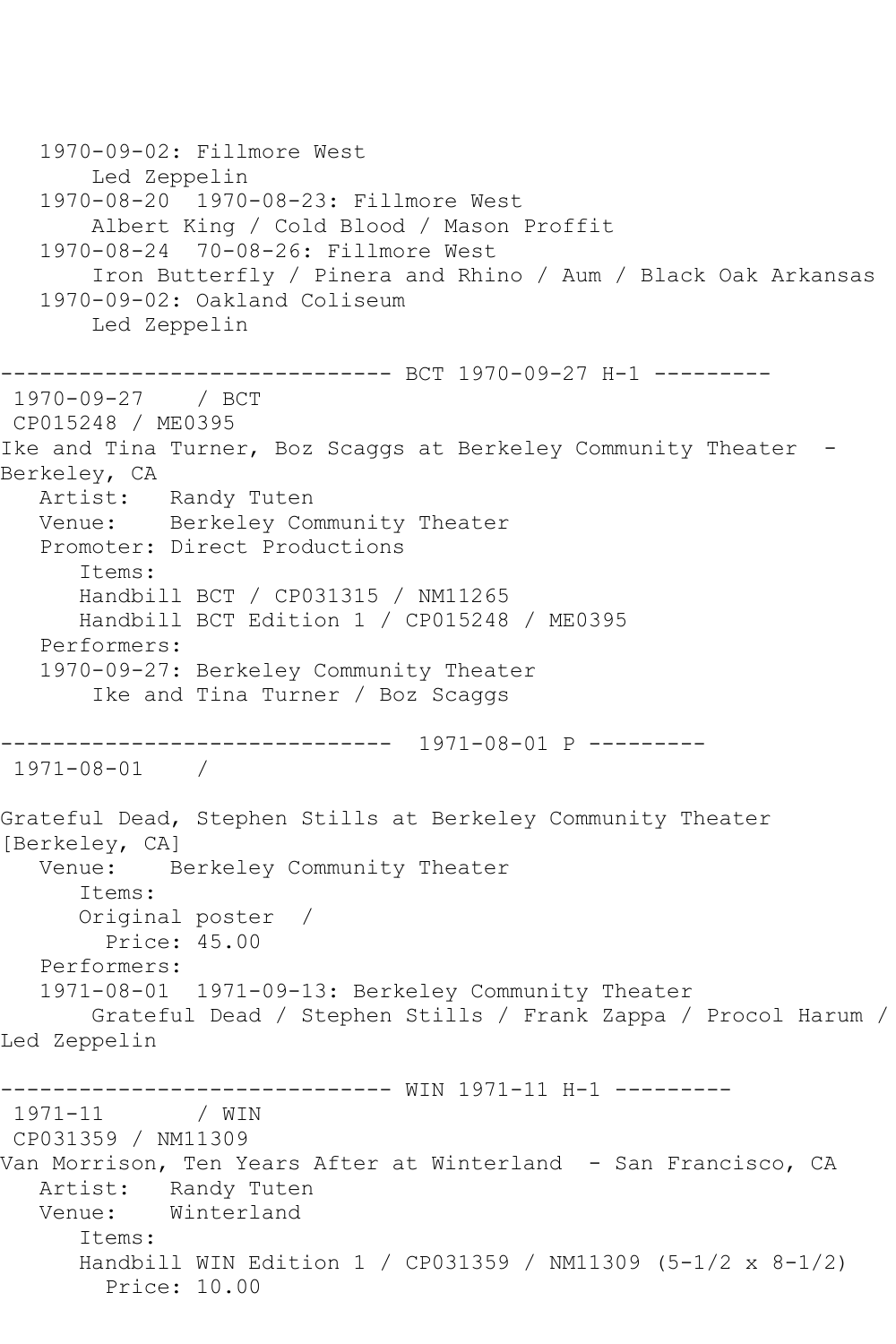```
 1970-09-02: Fillmore West
        Led Zeppelin
   1970-08-20 1970-08-23: Fillmore West
        Albert King / Cold Blood / Mason Proffit
   1970-08-24 70-08-26: Fillmore West
        Iron Butterfly / Pinera and Rhino / Aum / Black Oak Arkansas
   1970-09-02: Oakland Coliseum
        Led Zeppelin
                --------------- BCT 1970-09-27 H-1 ---------
1970-09-27 / BCT 
CP015248 / ME0395
Ike and Tina Turner, Boz Scaggs at Berkeley Community Theater -
Berkeley, CA
   Artist: Randy Tuten
   Venue: Berkeley Community Theater
   Promoter: Direct Productions
       Items:
      Handbill BCT / CP031315 / NM11265
       Handbill BCT Edition 1 / CP015248 / ME0395
   Performers:
   1970-09-27: Berkeley Community Theater
        Ike and Tina Turner / Boz Scaggs
                ------------------------------ 1971-08-01 P ---------
1971-08-01 / 
Grateful Dead, Stephen Stills at Berkeley Community Theater 
[Berkeley, CA]
   Venue: Berkeley Community Theater
       Items:
       Original poster / 
         Price: 45.00
   Performers:
   1971-08-01 1971-09-13: Berkeley Community Theater
        Grateful Dead / Stephen Stills / Frank Zappa / Procol Harum / 
Led Zeppelin
------------------------------ WIN 1971-11 H-1 ---------
1971 - 11CP031359 / NM11309
Van Morrison, Ten Years After at Winterland - San Francisco, CA
   Artist: Randy Tuten
   Venue: Winterland
       Items:
       Handbill WIN Edition 1 / CP031359 / NM11309 (5-1/2 x 8-1/2)
         Price: 10.00
```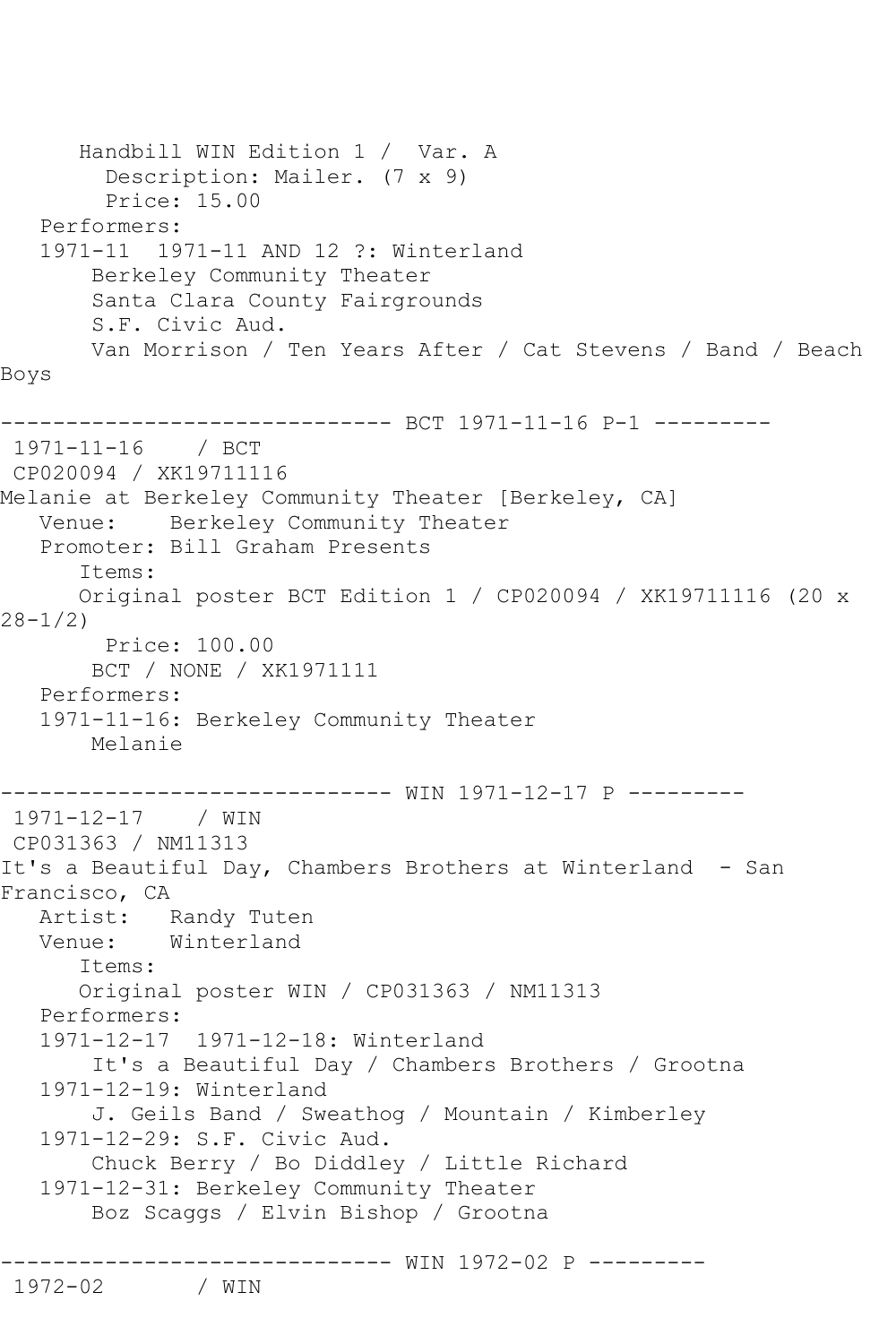Handbill WIN Edition 1 / Var. A Description: Mailer. (7 x 9) Price: 15.00 Performers: 1971-11 1971-11 AND 12 ?: Winterland Berkeley Community Theater Santa Clara County Fairgrounds S.F. Civic Aud. Van Morrison / Ten Years After / Cat Stevens / Band / Beach Boys -------------------- BCT 1971-11-16 P-1 ---------1971-11-16 / BCT CP020094 / XK19711116 Melanie at Berkeley Community Theater [Berkeley, CA] Venue: Berkeley Community Theater Promoter: Bill Graham Presents Items: Original poster BCT Edition 1 / CP020094 / XK19711116 (20 x 28-1/2) Price: 100.00 BCT / NONE / XK1971111 Performers: 1971-11-16: Berkeley Community Theater Melanie ------------------------------ WIN 1971-12-17 P --------- 1971-12-17 / WIN CP031363 / NM11313 It's a Beautiful Day, Chambers Brothers at Winterland - San Francisco, CA Artist: Randy Tuten<br>Venue: Winterland Winterland Items: Original poster WIN / CP031363 / NM11313 Performers: 1971-12-17 1971-12-18: Winterland It's a Beautiful Day / Chambers Brothers / Grootna 1971-12-19: Winterland J. Geils Band / Sweathog / Mountain / Kimberley 1971-12-29: S.F. Civic Aud. Chuck Berry / Bo Diddley / Little Richard 1971-12-31: Berkeley Community Theater Boz Scaggs / Elvin Bishop / Grootna ------------------------------- WIN 1972-02 P ----------<br>1972-02 / WIN

1972-02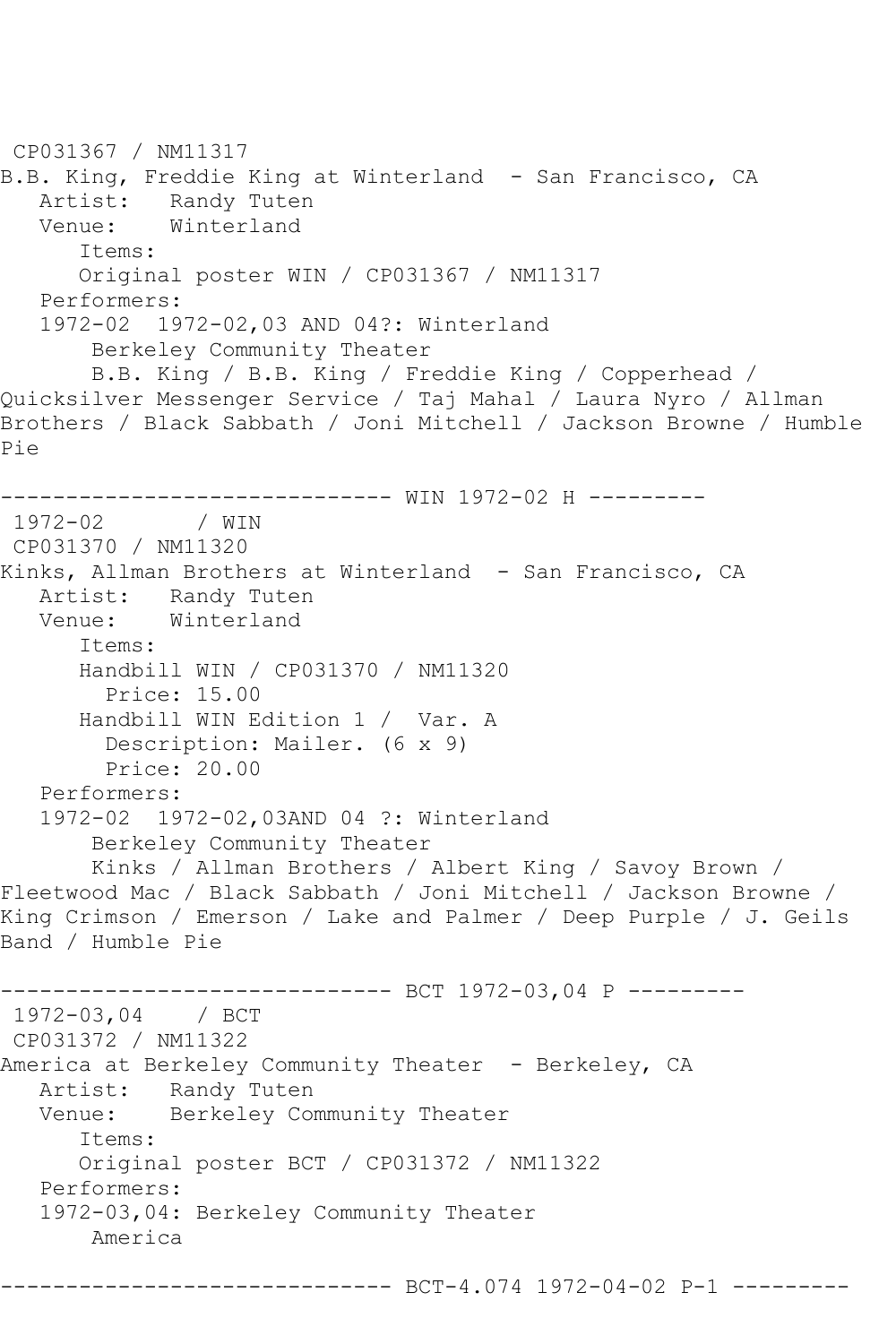```
CP031367 / NM11317
B.B. King, Freddie King at Winterland - San Francisco, CA
   Artist: Randy Tuten
   Venue: Winterland
       Items:
       Original poster WIN / CP031367 / NM11317
   Performers:
    1972-02 1972-02,03 AND 04?: Winterland
        Berkeley Community Theater
        B.B. King / B.B. King / Freddie King / Copperhead / 
Quicksilver Messenger Service / Taj Mahal / Laura Nyro / Allman 
Brothers / Black Sabbath / Joni Mitchell / Jackson Browne / Humble 
Pie
------------------------------- WIN 1972-02 H ---------<br>1972-02 / WIN
            1972-02 / WIN 
CP031370 / NM11320
Kinks, Allman Brothers at Winterland - San Francisco, CA
  Artist: Randy Tuten<br>Venue: Winterland
            Winterland
       Items:
       Handbill WIN / CP031370 / NM11320
         Price: 15.00
       Handbill WIN Edition 1 / Var. A
         Description: Mailer. (6 x 9)
         Price: 20.00
   Performers:
    1972-02 1972-02,03AND 04 ?: Winterland
        Berkeley Community Theater
        Kinks / Allman Brothers / Albert King / Savoy Brown / 
Fleetwood Mac / Black Sabbath / Joni Mitchell / Jackson Browne / 
King Crimson / Emerson / Lake and Palmer / Deep Purple / J. Geils 
Band / Humble Pie
                     ----------- BCT 1972-03,04 P ---------
1972-03,04 / BCT 
CP031372 / NM11322
America at Berkeley Community Theater - Berkeley, CA
  Artist: Randy Tuten<br>Venue: Berkelev Com
            Berkeley Community Theater
       Items:
       Original poster BCT / CP031372 / NM11322
   Performers:
    1972-03,04: Berkeley Community Theater
        America
```
------------------------------ BCT-4.074 1972-04-02 P-1 ---------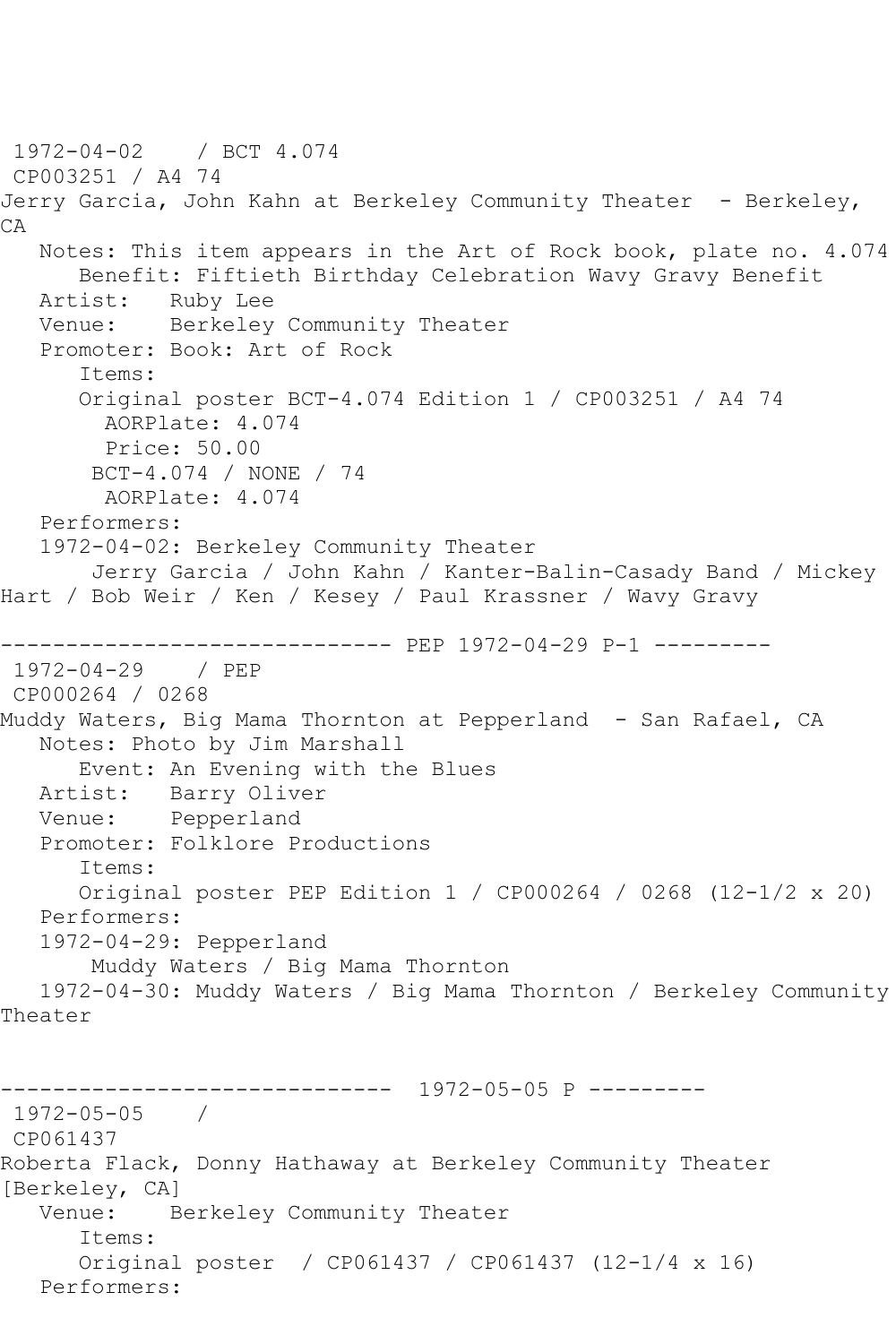1972-04-02 / BCT 4.074 CP003251 / A4 74 Jerry Garcia, John Kahn at Berkeley Community Theater - Berkeley, CA Notes: This item appears in the Art of Rock book, plate no. 4.074 Benefit: Fiftieth Birthday Celebration Wavy Gravy Benefit Artist: Ruby Lee Venue: Berkeley Community Theater Promoter: Book: Art of Rock Items: Original poster BCT-4.074 Edition 1 / CP003251 / A4 74 AORPlate: 4.074 Price: 50.00 BCT-4.074 / NONE / 74 AORPlate: 4.074 Performers: 1972-04-02: Berkeley Community Theater Jerry Garcia / John Kahn / Kanter-Balin-Casady Band / Mickey Hart / Bob Weir / Ken / Kesey / Paul Krassner / Wavy Gravy ------------------------------ PEP 1972-04-29 P-1 --------- 1972-04-29 / PEP CP000264 / 0268 Muddy Waters, Big Mama Thornton at Pepperland - San Rafael, CA Notes: Photo by Jim Marshall Event: An Evening with the Blues Artist: Barry Oliver Venue: Pepperland Promoter: Folklore Productions Items: Original poster PEP Edition 1 / CP000264 / 0268 (12-1/2 x 20) Performers: 1972-04-29: Pepperland Muddy Waters / Big Mama Thornton 1972-04-30: Muddy Waters / Big Mama Thornton / Berkeley Community Theater ------------------------------ 1972-05-05 P ---------  $1972 - 05 - 05$ CP061437 Roberta Flack, Donny Hathaway at Berkeley Community Theater [Berkeley, CA] Venue: Berkeley Community Theater Items: Original poster / CP061437 / CP061437 (12-1/4 x 16) Performers: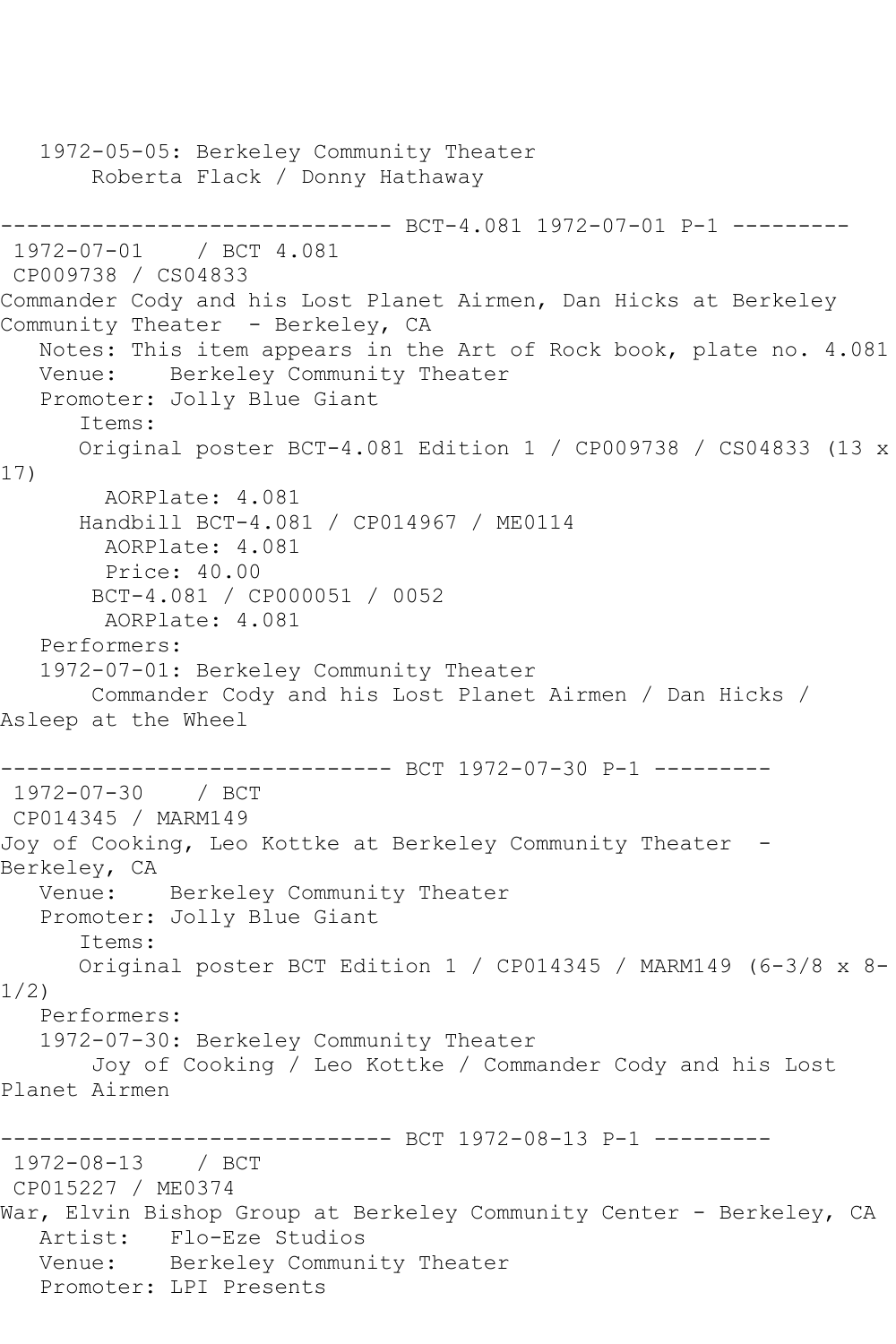```
 1972-05-05: Berkeley Community Theater
        Roberta Flack / Donny Hathaway
------------------------------ BCT-4.081 1972-07-01 P-1 ----------<br>1972-07-01 / BCT 4.081
1972 - 07 - 01CP009738 / CS04833
Commander Cody and his Lost Planet Airmen, Dan Hicks at Berkeley 
Community Theater - Berkeley, CA
   Notes: This item appears in the Art of Rock book, plate no. 4.081
   Venue: Berkeley Community Theater
   Promoter: Jolly Blue Giant
       Items:
       Original poster BCT-4.081 Edition 1 / CP009738 / CS04833 (13 x 
17)
         AORPlate: 4.081 
       Handbill BCT-4.081 / CP014967 / ME0114
        AORPlate: 4.081 
        Price: 40.00
        BCT-4.081 / CP000051 / 0052
         AORPlate: 4.081 
   Performers:
    1972-07-01: Berkeley Community Theater
        Commander Cody and his Lost Planet Airmen / Dan Hicks / 
Asleep at the Wheel
------------------------------ BCT 1972-07-30 P-1 ---------
1972-07-30 / BCT
CP014345 / MARM149
Joy of Cooking, Leo Kottke at Berkeley Community Theater -
Berkeley, CA
   Venue: Berkeley Community Theater
    Promoter: Jolly Blue Giant
       Items:
       Original poster BCT Edition 1 / CP014345 / MARM149 (6-3/8 x 8-
1/2)
   Performers:
    1972-07-30: Berkeley Community Theater
        Joy of Cooking / Leo Kottke / Commander Cody and his Lost 
Planet Airmen
                    ----------- BCT 1972-08-13 P-1 ----------
1972-08-13 / BCT 
CP015227 / ME0374
War, Elvin Bishop Group at Berkeley Community Center - Berkeley, CA
   Artist: Flo-Eze Studios
   Venue: Berkeley Community Theater
   Promoter: LPI Presents
```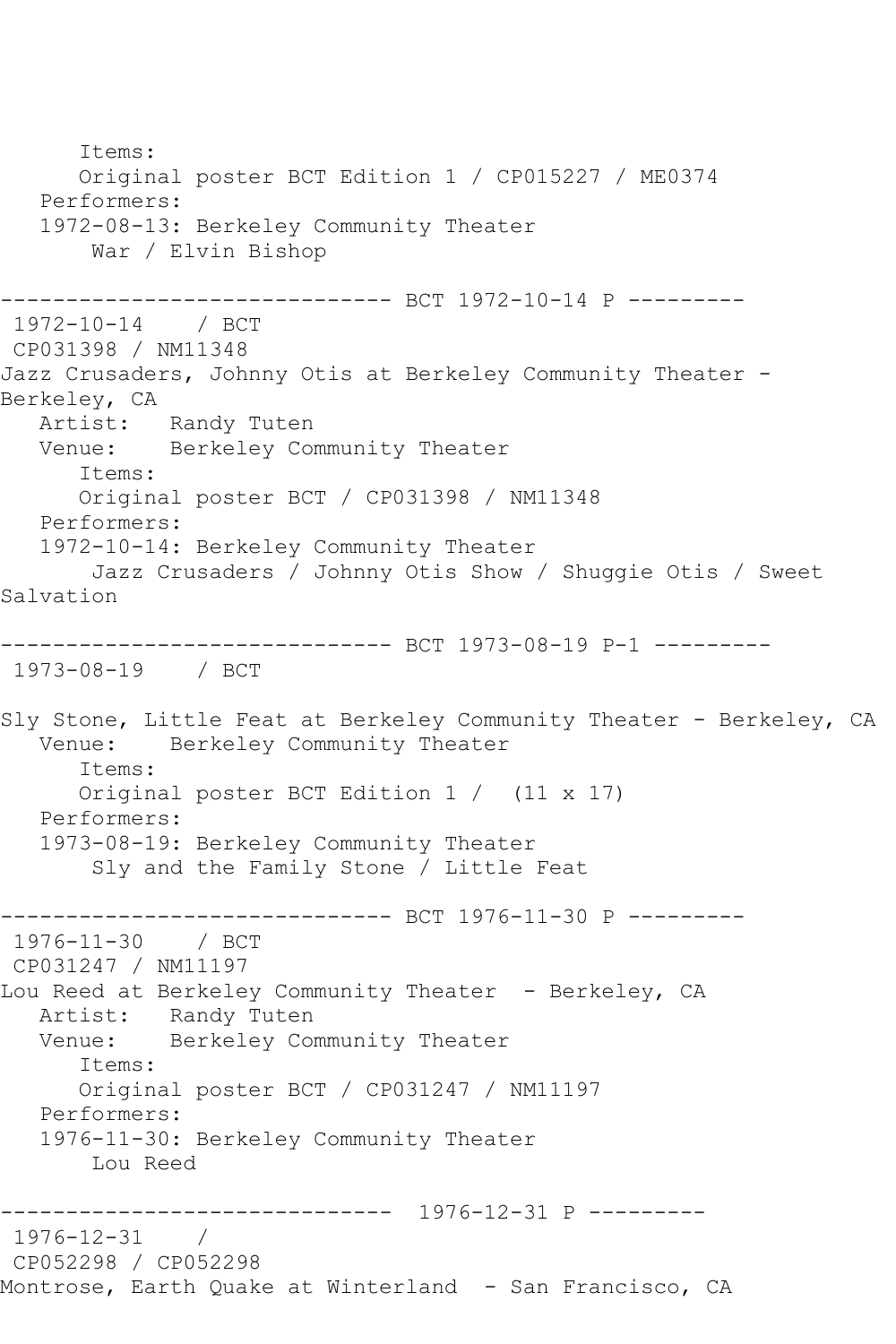Items: Original poster BCT Edition 1 / CP015227 / ME0374 Performers: 1972-08-13: Berkeley Community Theater War / Elvin Bishop ------------------------------ BCT 1972-10-14 P --------- 1972-10-14 / BCT CP031398 / NM11348 Jazz Crusaders, Johnny Otis at Berkeley Community Theater -Berkeley, CA Artist: Randy Tuten<br>Venue: Berkelev Com Berkeley Community Theater Items: Original poster BCT / CP031398 / NM11348 Performers: 1972-10-14: Berkeley Community Theater Jazz Crusaders / Johnny Otis Show / Shuggie Otis / Sweet Salvation ------------------------------ BCT 1973-08-19 P-1 --------- 1973-08-19 / BCT Sly Stone, Little Feat at Berkeley Community Theater - Berkeley, CA<br>Venue: Berkeley Community Theater Berkeley Community Theater Items: Original poster BCT Edition 1 / (11 x 17) Performers: 1973-08-19: Berkeley Community Theater Sly and the Family Stone / Little Feat -------------- BCT 1976-11-30 P ---------1976-11-30 / BCT CP031247 / NM11197 Lou Reed at Berkeley Community Theater - Berkeley, CA Artist: Randy Tuten Venue: Berkeley Community Theater Items: Original poster BCT / CP031247 / NM11197 Performers: 1976-11-30: Berkeley Community Theater Lou Reed ------------------------------ 1976-12-31 P --------- 1976-12-31 / CP052298 / CP052298 Montrose, Earth Quake at Winterland - San Francisco, CA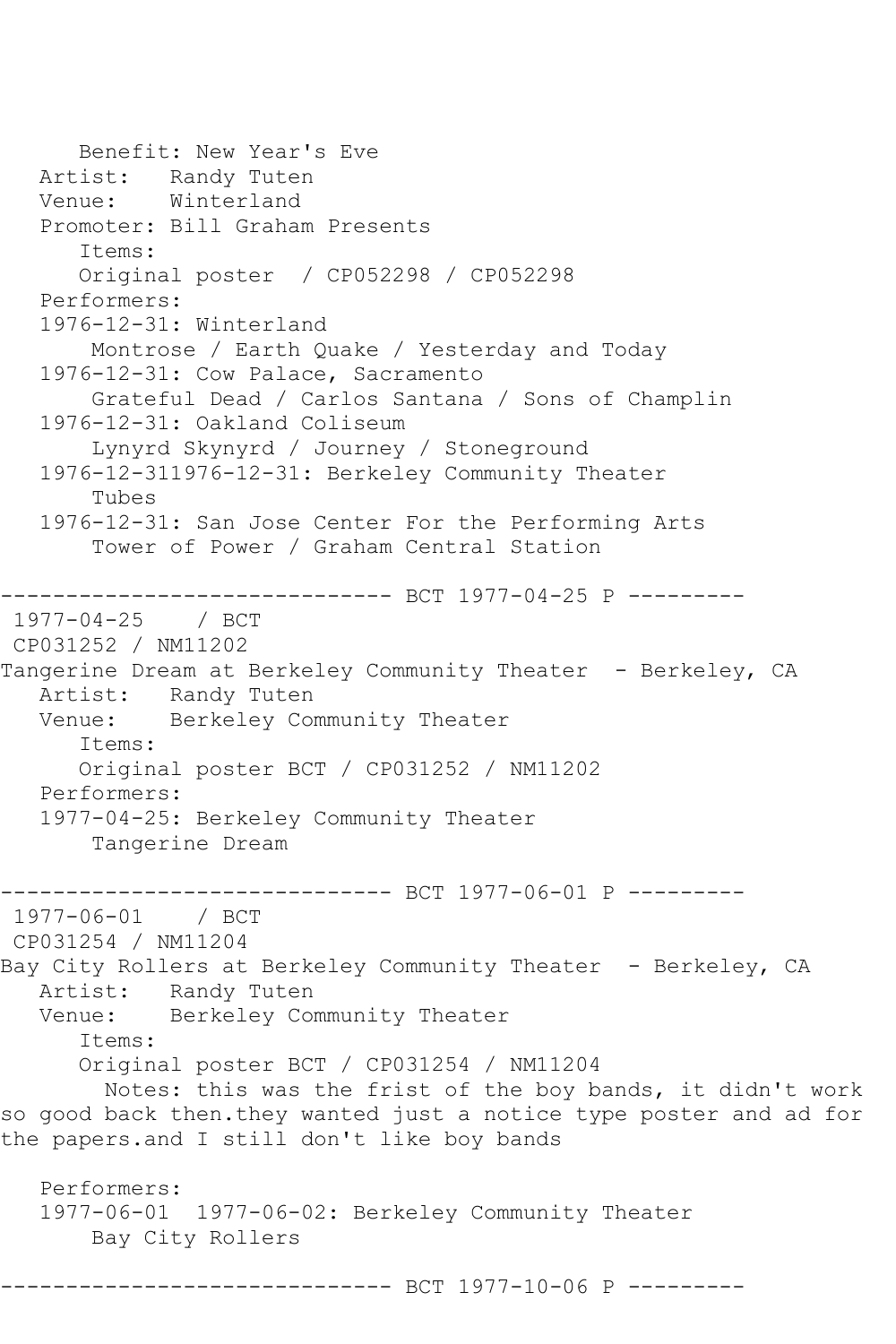```
 Benefit: New Year's Eve
   Artist: Randy Tuten
    Venue: Winterland
    Promoter: Bill Graham Presents
       Items:
       Original poster / CP052298 / CP052298
    Performers:
    1976-12-31: Winterland
        Montrose / Earth Quake / Yesterday and Today
    1976-12-31: Cow Palace, Sacramento
        Grateful Dead / Carlos Santana / Sons of Champlin
    1976-12-31: Oakland Coliseum
        Lynyrd Skynyrd / Journey / Stoneground
    1976-12-311976-12-31: Berkeley Community Theater
        Tubes
    1976-12-31: San Jose Center For the Performing Arts
        Tower of Power / Graham Central Station
        ------------------------------ BCT 1977-04-25 P ---------
1977-04-25 / BCT 
CP031252 / NM11202
Tangerine Dream at Berkeley Community Theater - Berkeley, CA
  Artist: Randy Tuten<br>Venue: Berkeley Com
           Berkeley Community Theater
       Items:
       Original poster BCT / CP031252 / NM11202
   Performers:
    1977-04-25: Berkeley Community Theater
        Tangerine Dream
         ------------------------------ BCT 1977-06-01 P ---------
1977-06-01 / BCT 
CP031254 / NM11204
Bay City Rollers at Berkeley Community Theater - Berkeley, CA
   Artist: Randy Tuten
   Venue: Berkeley Community Theater
       Items:
       Original poster BCT / CP031254 / NM11204
         Notes: this was the frist of the boy bands, it didn't work 
so good back then.they wanted just a notice type poster and ad for 
the papers.and I still don't like boy bands
   Performers:
    1977-06-01 1977-06-02: Berkeley Community Theater
        Bay City Rollers
------------------------------ BCT 1977-10-06 P ---------
```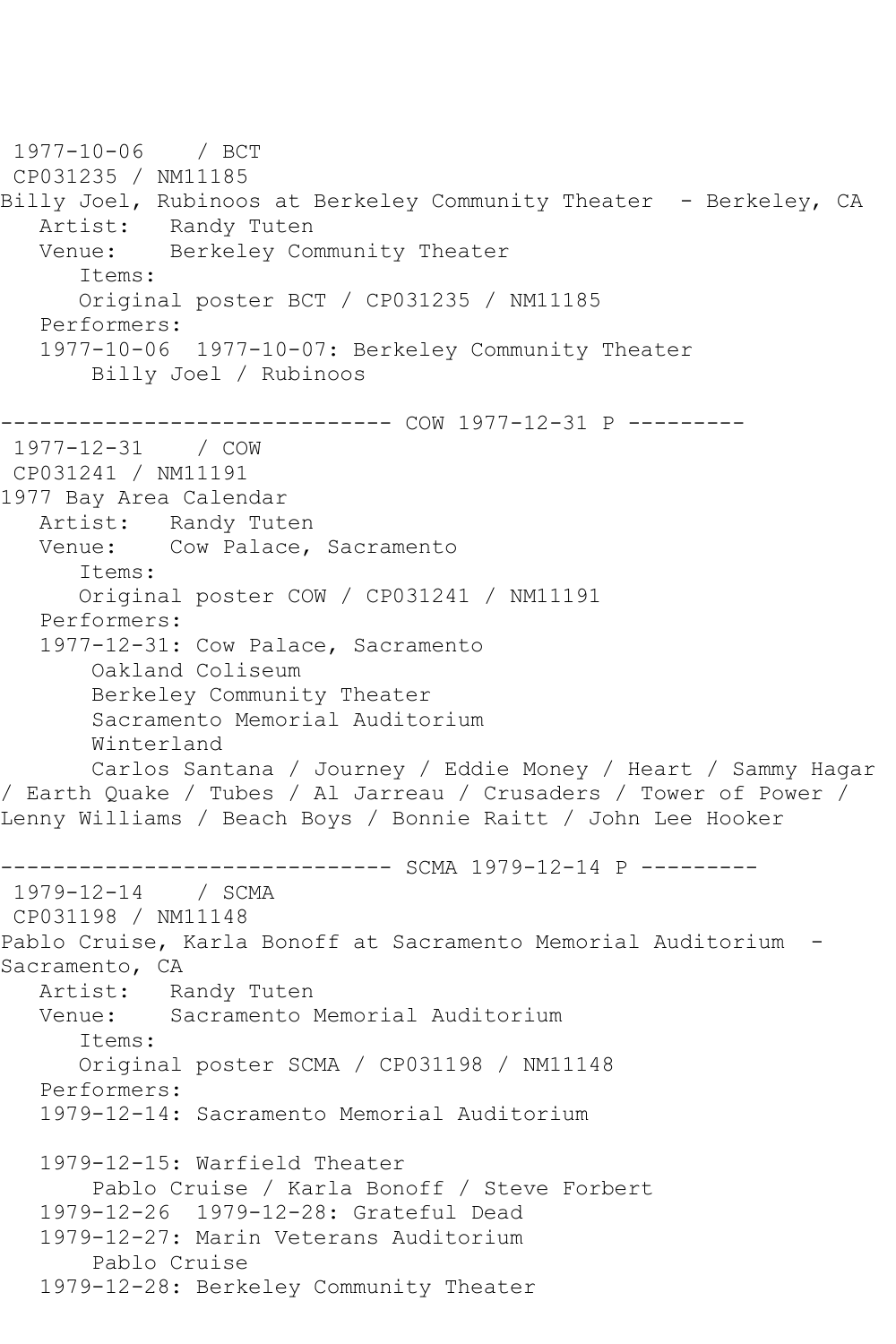1977-10-06 / BCT CP031235 / NM11185 Billy Joel, Rubinoos at Berkeley Community Theater - Berkeley, CA Artist: Randy Tuten<br>Venue: Berkelev Com Berkeley Community Theater Items: Original poster BCT / CP031235 / NM11185 Performers: 1977-10-06 1977-10-07: Berkeley Community Theater Billy Joel / Rubinoos ------------------------------ COW 1977-12-31 P --------- 1977-12-31 / COW CP031241 / NM11191 1977 Bay Area Calendar Artist: Randy Tuten Venue: Cow Palace, Sacramento Items: Original poster COW / CP031241 / NM11191 Performers: 1977-12-31: Cow Palace, Sacramento Oakland Coliseum Berkeley Community Theater Sacramento Memorial Auditorium Winterland Carlos Santana / Journey / Eddie Money / Heart / Sammy Hagar / Earth Quake / Tubes / Al Jarreau / Crusaders / Tower of Power / Lenny Williams / Beach Boys / Bonnie Raitt / John Lee Hooker ------------------------------ SCMA 1979-12-14 P --------- 1979-12-14 / SCMA CP031198 / NM11148 Pablo Cruise, Karla Bonoff at Sacramento Memorial Auditorium - Sacramento, CA Artist: Randy Tuten Venue: Sacramento Memorial Auditorium Items: Original poster SCMA / CP031198 / NM11148 Performers: 1979-12-14: Sacramento Memorial Auditorium 1979-12-15: Warfield Theater Pablo Cruise / Karla Bonoff / Steve Forbert 1979-12-26 1979-12-28: Grateful Dead 1979-12-27: Marin Veterans Auditorium Pablo Cruise 1979-12-28: Berkeley Community Theater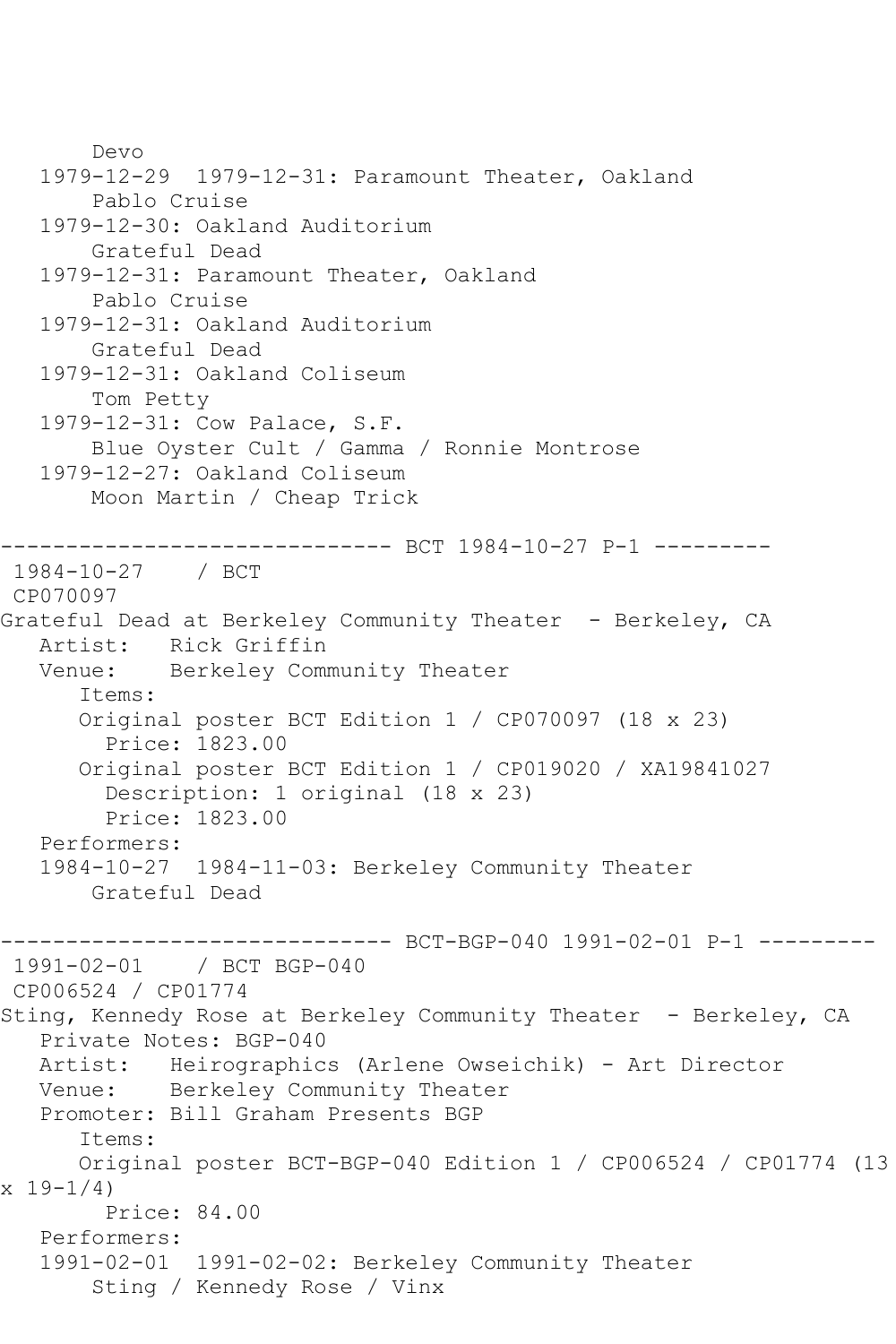Devo 1979-12-29 1979-12-31: Paramount Theater, Oakland Pablo Cruise 1979-12-30: Oakland Auditorium Grateful Dead 1979-12-31: Paramount Theater, Oakland Pablo Cruise 1979-12-31: Oakland Auditorium Grateful Dead 1979-12-31: Oakland Coliseum Tom Petty 1979-12-31: Cow Palace, S.F. Blue Oyster Cult / Gamma / Ronnie Montrose 1979-12-27: Oakland Coliseum Moon Martin / Cheap Trick ------------------------------ BCT 1984-10-27 P-1 --------- 1984-10-27 / BCT CP070097 Grateful Dead at Berkeley Community Theater - Berkeley, CA Artist: Rick Griffin Venue: Berkeley Community Theater Items: Original poster BCT Edition 1 / CP070097 (18 x 23) Price: 1823.00 Original poster BCT Edition 1 / CP019020 / XA19841027 Description: 1 original (18 x 23) Price: 1823.00 Performers: 1984-10-27 1984-11-03: Berkeley Community Theater Grateful Dead ------------------------------ BCT-BGP-040 1991-02-01 P-1 --------- 1991-02-01 / BCT BGP-040 CP006524 / CP01774 Sting, Kennedy Rose at Berkeley Community Theater - Berkeley, CA Private Notes: BGP-040 Artist: Heirographics (Arlene Owseichik) - Art Director Venue: Berkeley Community Theater Promoter: Bill Graham Presents BGP Items: Original poster BCT-BGP-040 Edition 1 / CP006524 / CP01774 (13  $x 19 - 1/4$  Price: 84.00 Performers: 1991-02-01 1991-02-02: Berkeley Community Theater Sting / Kennedy Rose / Vinx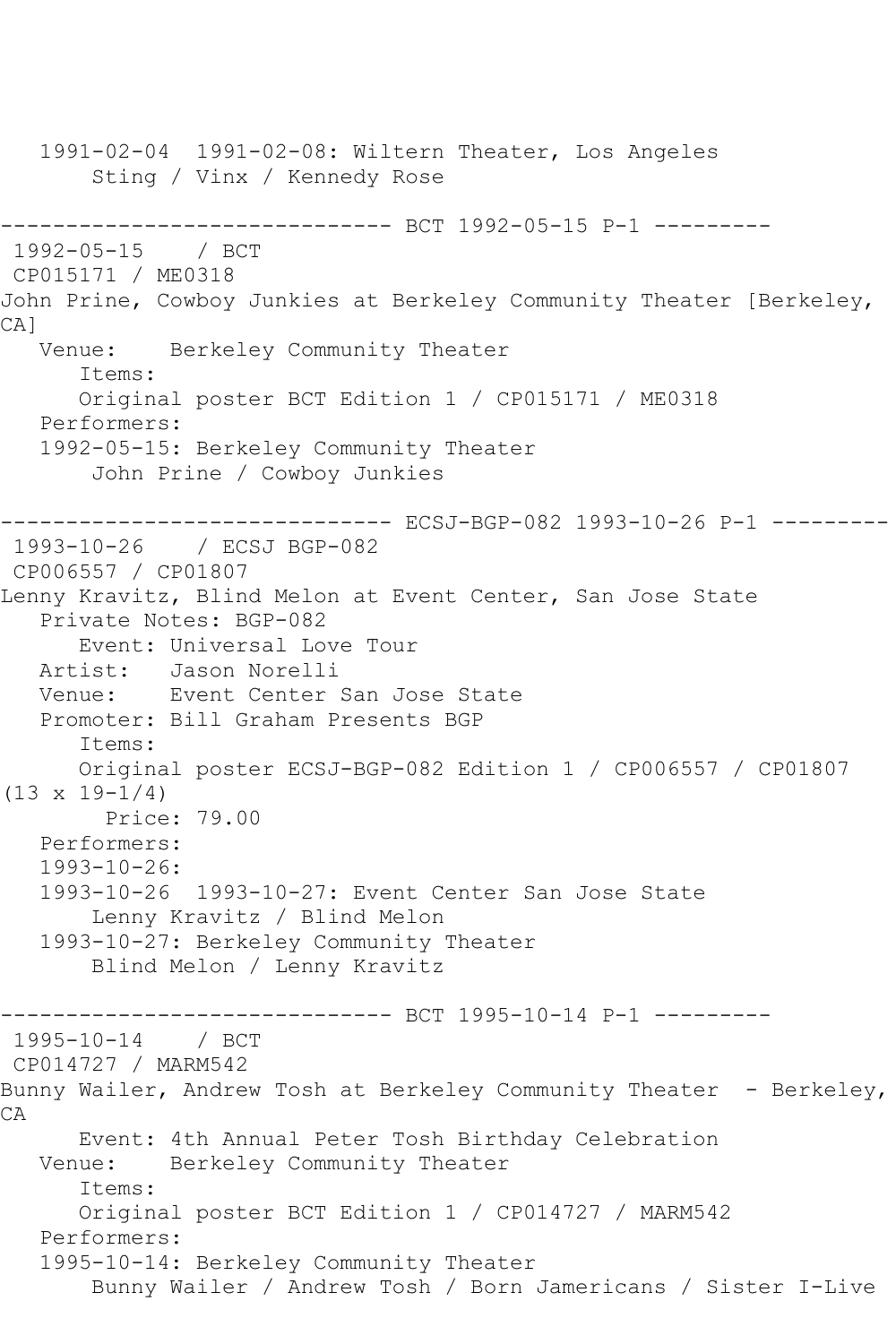1991-02-04 1991-02-08: Wiltern Theater, Los Angeles Sting / Vinx / Kennedy Rose ------------------------------ BCT 1992-05-15 P-1 --------- 1992-05-15 / BCT CP015171 / ME0318 John Prine, Cowboy Junkies at Berkeley Community Theater [Berkeley, CA] Venue: Berkeley Community Theater Items: Original poster BCT Edition 1 / CP015171 / ME0318 Performers: 1992-05-15: Berkeley Community Theater John Prine / Cowboy Junkies ---------------------- ECSJ-BGP-082 1993-10-26 P-1 ---------1993-10-26 / ECSJ BGP-082 CP006557 / CP01807 Lenny Kravitz, Blind Melon at Event Center, San Jose State Private Notes: BGP-082 Event: Universal Love Tour Artist: Jason Norelli Venue: Event Center San Jose State Promoter: Bill Graham Presents BGP Items: Original poster ECSJ-BGP-082 Edition 1 / CP006557 / CP01807  $(13 \times 19 - 1/4)$  Price: 79.00 Performers: 1993-10-26: 1993-10-26 1993-10-27: Event Center San Jose State Lenny Kravitz / Blind Melon 1993-10-27: Berkeley Community Theater Blind Melon / Lenny Kravitz ------------------------------ BCT 1995-10-14 P-1 --------- 1995-10-14 / BCT CP014727 / MARM542 Bunny Wailer, Andrew Tosh at Berkeley Community Theater - Berkeley, CA Event: 4th Annual Peter Tosh Birthday Celebration Venue: Berkeley Community Theater Items: Original poster BCT Edition 1 / CP014727 / MARM542 Performers: 1995-10-14: Berkeley Community Theater Bunny Wailer / Andrew Tosh / Born Jamericans / Sister I-Live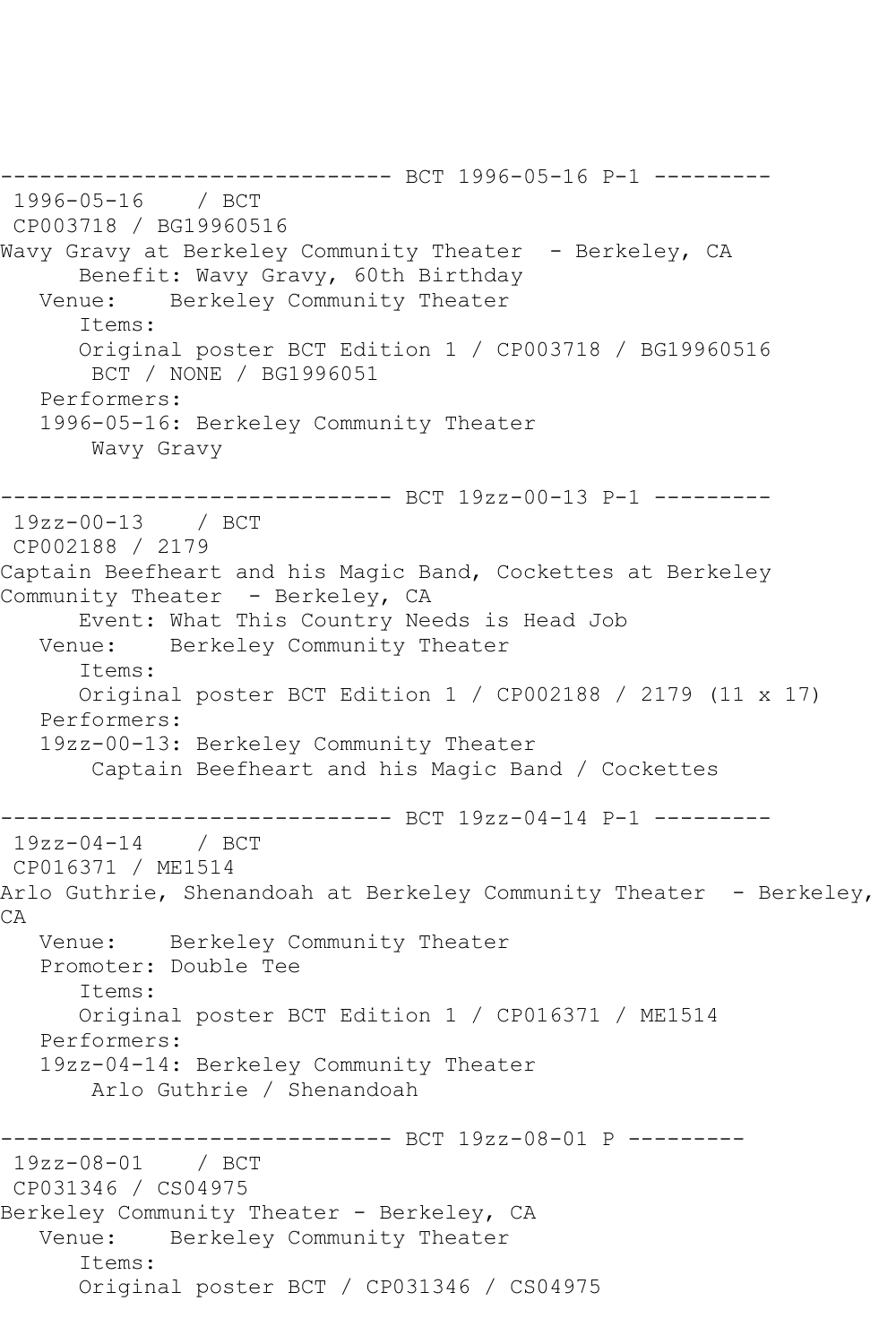------------------------------ BCT 1996-05-16 P-1 --------- 1996-05-16 / BCT CP003718 / BG19960516 Wavy Gravy at Berkeley Community Theater - Berkeley, CA Benefit: Wavy Gravy, 60th Birthday<br>Venue: Berkelev Community Theater Berkeley Community Theater Items: Original poster BCT Edition 1 / CP003718 / BG19960516 BCT / NONE / BG1996051 Performers: 1996-05-16: Berkeley Community Theater Wavy Gravy ------------------------------ BCT 19zz-00-13 P-1 --------- 19zz-00-13 / BCT CP002188 / 2179 Captain Beefheart and his Magic Band, Cockettes at Berkeley Community Theater - Berkeley, CA Event: What This Country Needs is Head Job Venue: Berkeley Community Theater Items: Original poster BCT Edition 1 / CP002188 / 2179 (11 x 17) Performers: 19zz-00-13: Berkeley Community Theater Captain Beefheart and his Magic Band / Cockettes ---------------- BCT 19zz-04-14 P-1 ----------<br>/ BCT  $19zz - 04 - 14$ CP016371 / ME1514 Arlo Guthrie, Shenandoah at Berkeley Community Theater - Berkeley, CA Venue: Berkeley Community Theater Promoter: Double Tee Items: Original poster BCT Edition 1 / CP016371 / ME1514 Performers: 19zz-04-14: Berkeley Community Theater Arlo Guthrie / Shenandoah ----------------- BCT 19zz-08-01 P ----------<br>/ BCT  $19zz-08-01$ CP031346 / CS04975 Berkeley Community Theater - Berkeley, CA Venue: Berkeley Community Theater Items: Original poster BCT / CP031346 / CS04975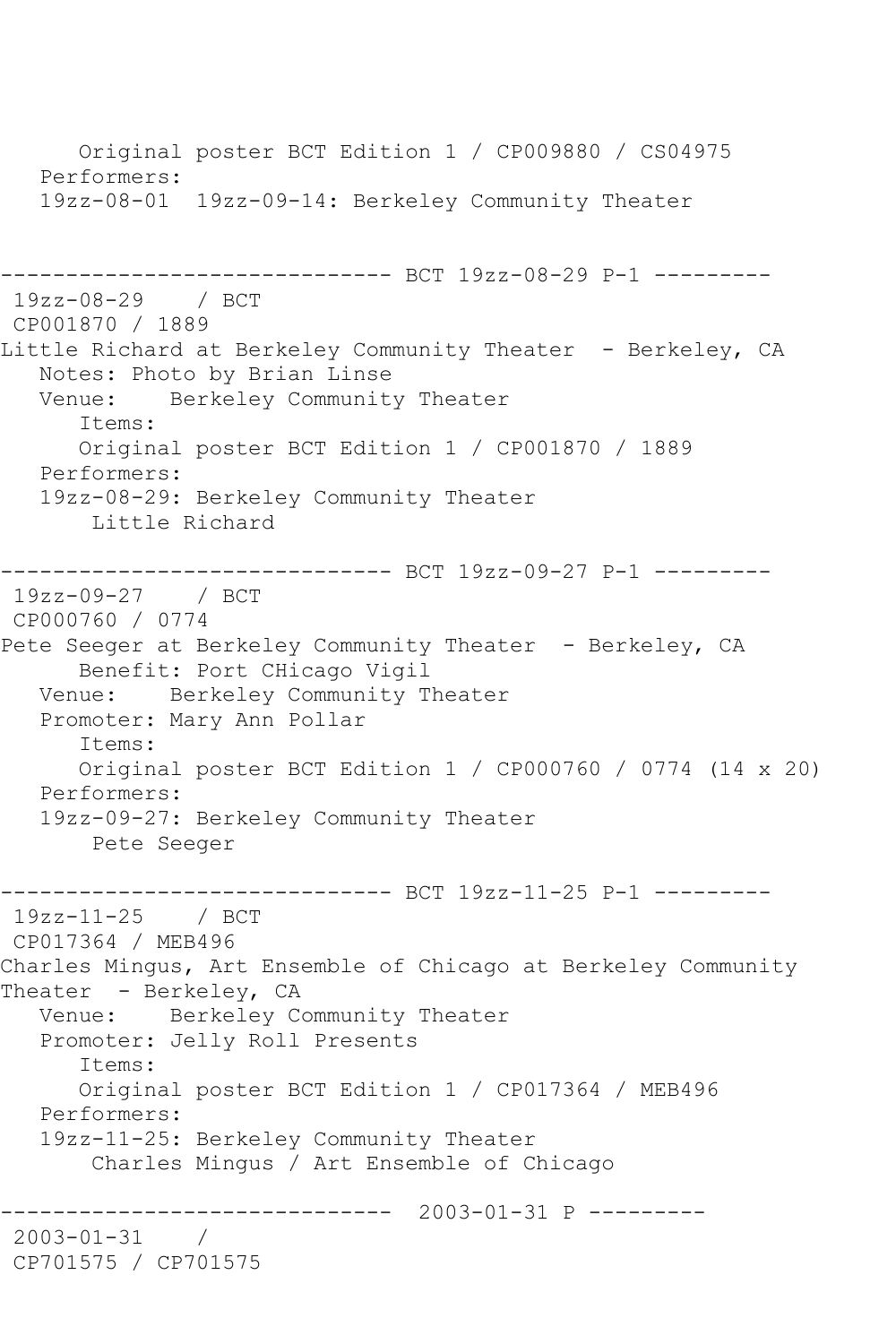Original poster BCT Edition 1 / CP009880 / CS04975 Performers: 19zz-08-01 19zz-09-14: Berkeley Community Theater ------------------------------ BCT 19zz-08-29 P-1 --------- 19zz-08-29 / BCT CP001870 / 1889 Little Richard at Berkeley Community Theater - Berkeley, CA Notes: Photo by Brian Linse<br>Venue: Berkelev Communit Berkeley Community Theater Items: Original poster BCT Edition 1 / CP001870 / 1889 Performers: 19zz-08-29: Berkeley Community Theater Little Richard ------------------------------ BCT 19zz-09-27 P-1 --------- 19zz-09-27 / BCT CP000760 / 0774 Pete Seeger at Berkeley Community Theater - Berkeley, CA Benefit: Port CHicago Vigil Venue: Berkeley Community Theater Promoter: Mary Ann Pollar Items: Original poster BCT Edition 1 / CP000760 / 0774 (14 x 20) Performers: 19zz-09-27: Berkeley Community Theater Pete Seeger ------------------------------ BCT 19zz-11-25 P-1 --------- 19zz-11-25 / BCT CP017364 / MEB496 Charles Mingus, Art Ensemble of Chicago at Berkeley Community Theater - Berkeley, CA Venue: Berkeley Community Theater Promoter: Jelly Roll Presents Items: Original poster BCT Edition 1 / CP017364 / MEB496 Performers: 19zz-11-25: Berkeley Community Theater Charles Mingus / Art Ensemble of Chicago ------------------------------ 2003-01-31 P --------- 2003-01-31 / CP701575 / CP701575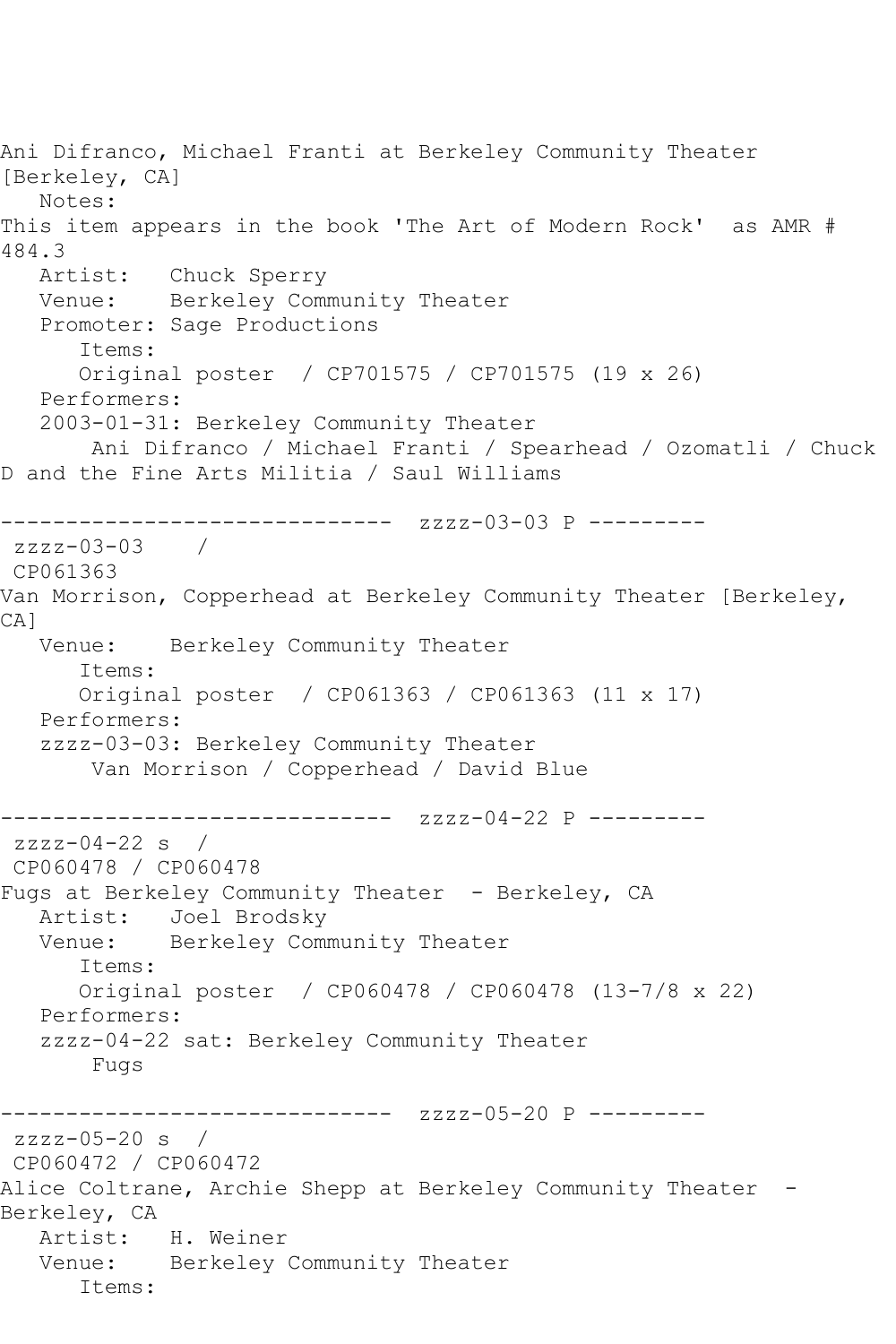Ani Difranco, Michael Franti at Berkeley Community Theater [Berkeley, CA] Notes: This item appears in the book 'The Art of Modern Rock' as AMR # 484.3<br>Artist: Chuck Sperry Venue: Berkeley Community Theater Promoter: Sage Productions Items: Original poster / CP701575 / CP701575 (19 x 26) Performers: 2003-01-31: Berkeley Community Theater Ani Difranco / Michael Franti / Spearhead / Ozomatli / Chuck D and the Fine Arts Militia / Saul Williams ------------------------------ zzzz-03-03 P -------- zzzz-03-03 / CP061363 Van Morrison, Copperhead at Berkeley Community Theater [Berkeley, CA] Venue: Berkeley Community Theater Items: Original poster / CP061363 / CP061363 (11 x 17) Performers: zzzz-03-03: Berkeley Community Theater Van Morrison / Copperhead / David Blue ------------------------------ zzzz-04-22 P -------- $zzzz-04-22$  s / CP060478 / CP060478 Fugs at Berkeley Community Theater - Berkeley, CA Artist: Joel Brodsky Venue: Berkeley Community Theater Items: Original poster / CP060478 / CP060478 (13-7/8 x 22) Performers: zzzz-04-22 sat: Berkeley Community Theater Fugs ------------------------------ zzzz-05-20 P -------- zzzz-05-20 s / CP060472 / CP060472 Alice Coltrane, Archie Shepp at Berkeley Community Theater -Berkeley, CA Artist: H. Weiner Venue: Berkeley Community Theater Items: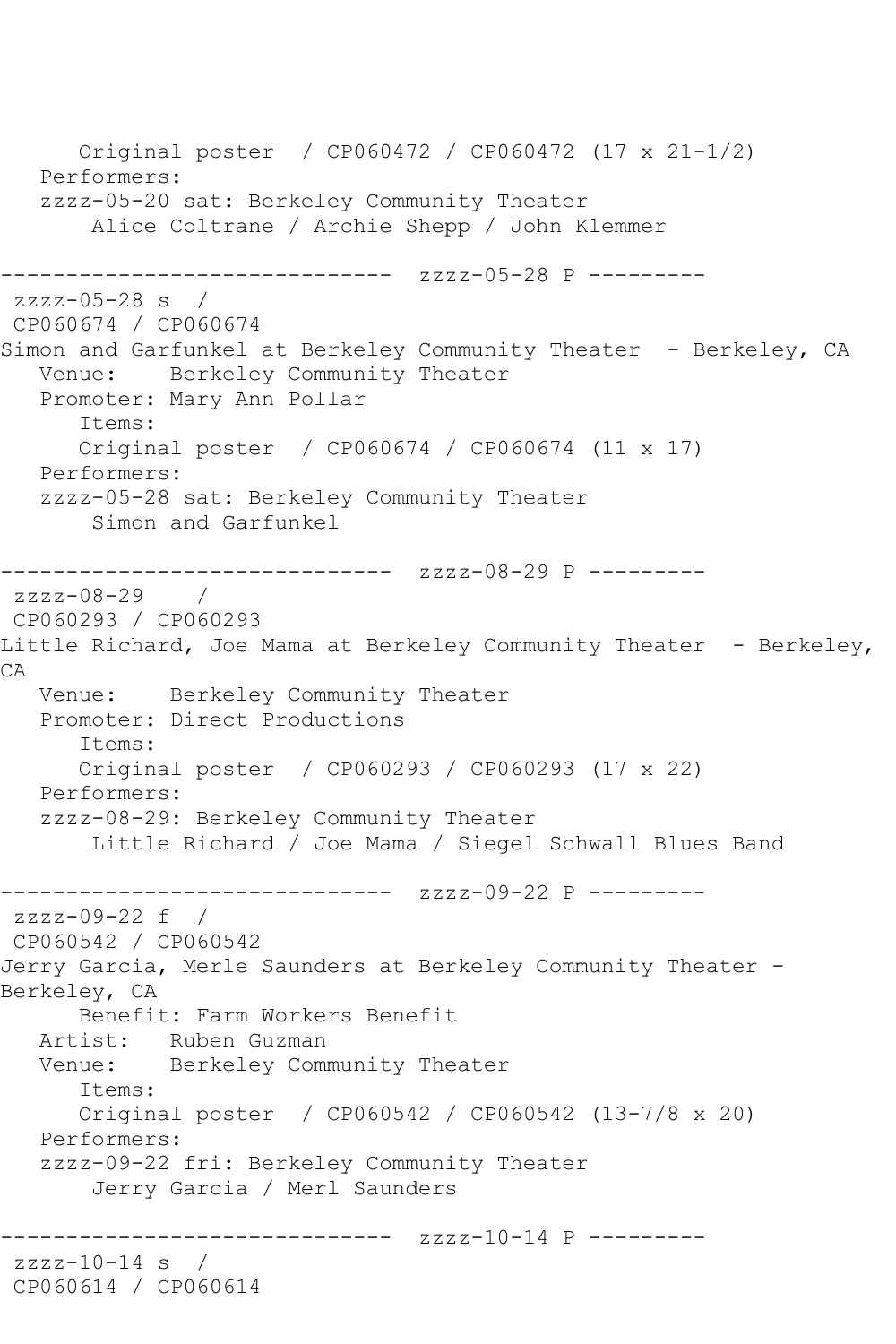Original poster / CP060472 / CP060472 (17 x 21-1/2) Performers: zzzz-05-20 sat: Berkeley Community Theater Alice Coltrane / Archie Shepp / John Klemmer ------------------------------ zzzz-05-28 P --------  $zzzz-05-28$  s  $/$ CP060674 / CP060674 Simon and Garfunkel at Berkeley Community Theater - Berkeley, CA Venue: Berkeley Community Theater Promoter: Mary Ann Pollar Items: Original poster / CP060674 / CP060674 (11 x 17) Performers: zzzz-05-28 sat: Berkeley Community Theater Simon and Garfunkel ------------------------------ zzzz-08-29 P -------- zzzz-08-29 / CP060293 / CP060293 Little Richard, Joe Mama at Berkeley Community Theater - Berkeley, CA Venue: Berkeley Community Theater Promoter: Direct Productions Items: Original poster / CP060293 / CP060293 (17 x 22) Performers: zzzz-08-29: Berkeley Community Theater Little Richard / Joe Mama / Siegel Schwall Blues Band ------------------------------ zzzz-09-22 P -------- zzzz-09-22 f / CP060542 / CP060542 Jerry Garcia, Merle Saunders at Berkeley Community Theater - Berkeley, CA Benefit: Farm Workers Benefit Artist: Ruben Guzman Venue: Berkeley Community Theater Items: Original poster / CP060542 / CP060542 (13-7/8 x 20) Performers: zzzz-09-22 fri: Berkeley Community Theater Jerry Garcia / Merl Saunders ----------- zzzz-10-14 P -------- $zzzz-10-14$  s  $/$ CP060614 / CP060614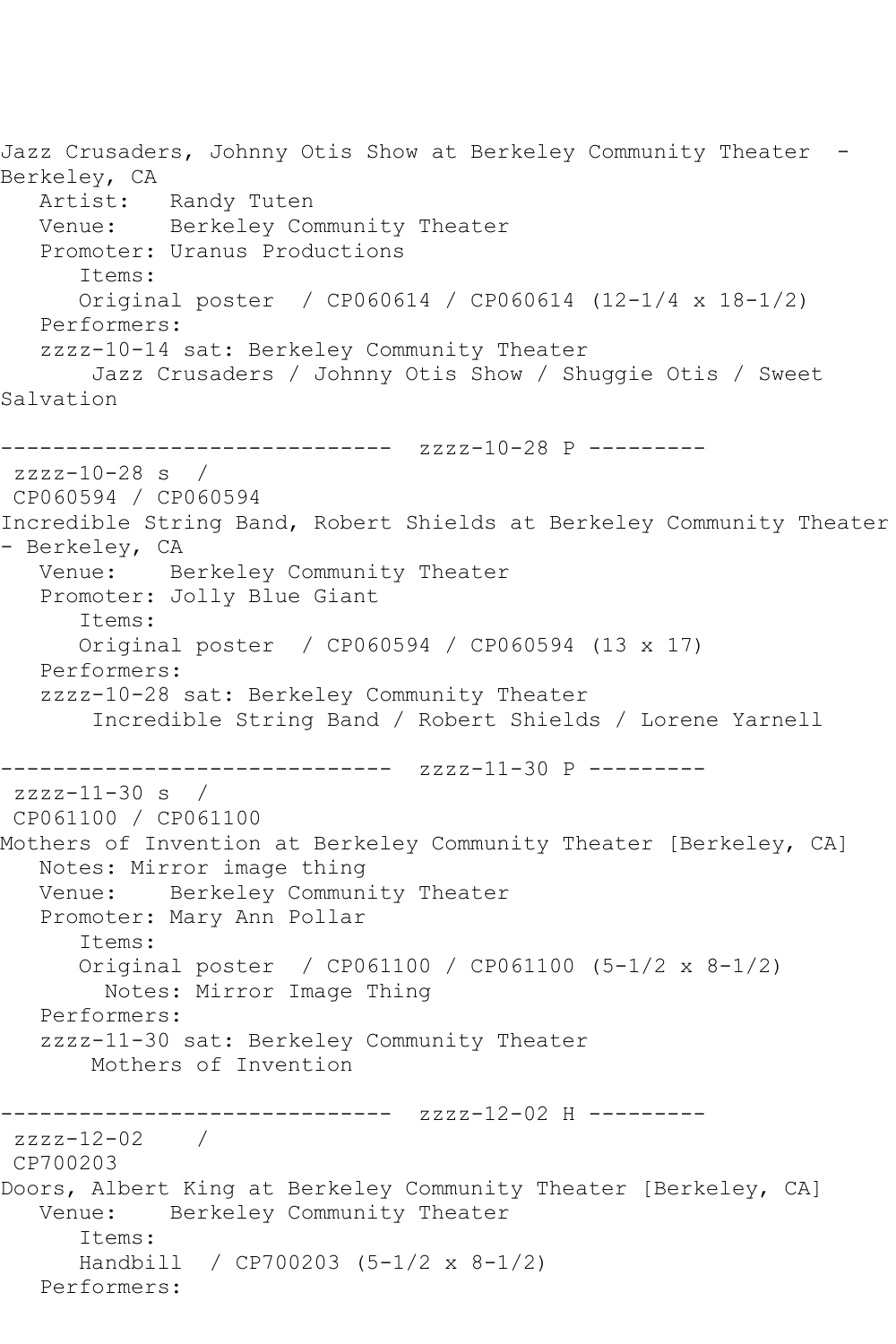Jazz Crusaders, Johnny Otis Show at Berkeley Community Theater -Berkeley, CA<br>Artist: Randy Tuten Venue: Berkeley Community Theater Promoter: Uranus Productions Items: Original poster / CP060614 / CP060614 (12-1/4 x 18-1/2) Performers: zzzz-10-14 sat: Berkeley Community Theater Jazz Crusaders / Johnny Otis Show / Shuggie Otis / Sweet Salvation ------------------------------ zzzz-10-28 P -------- zzzz-10-28 s / CP060594 / CP060594 Incredible String Band, Robert Shields at Berkeley Community Theater - Berkeley, CA Venue: Berkeley Community Theater Promoter: Jolly Blue Giant Items: Original poster / CP060594 / CP060594 (13 x 17) Performers: zzzz-10-28 sat: Berkeley Community Theater Incredible String Band / Robert Shields / Lorene Yarnell ------------------------------ zzzz-11-30 P -------- zzzz-11-30 s / CP061100 / CP061100 Mothers of Invention at Berkeley Community Theater [Berkeley, CA] Notes: Mirror image thing Venue: Berkeley Community Theater Promoter: Mary Ann Pollar Items: Original poster / CP061100 / CP061100 (5-1/2 x 8-1/2) Notes: Mirror Image Thing Performers: zzzz-11-30 sat: Berkeley Community Theater Mothers of Invention ------------------------------ zzzz-12-02 H -------- zzzz-12-02 / CP700203 Doors, Albert King at Berkeley Community Theater [Berkeley, CA] Venue: Berkeley Community Theater Items: Handbill / CP700203 (5-1/2 x 8-1/2) Performers: